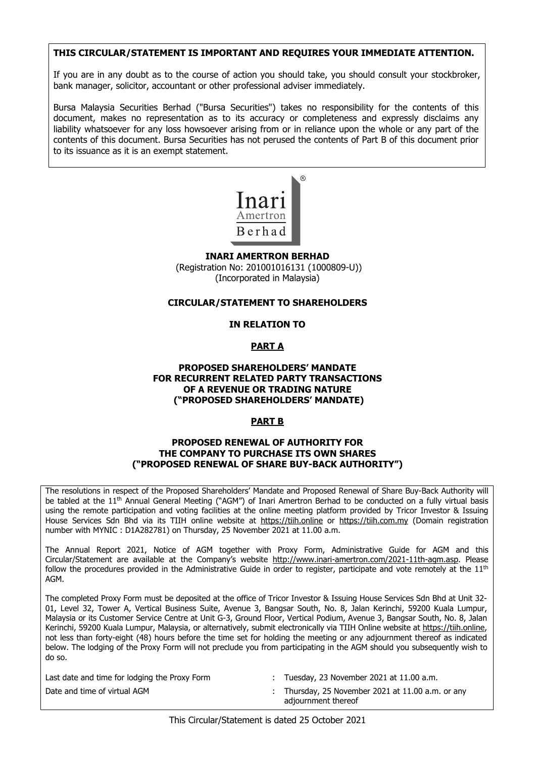#### THIS CIRCULAR/STATEMENT IS IMPORTANT AND REQUIRES YOUR IMMEDIATE ATTENTION. THIS CIDCULAD (STATEMENT IS IMDODTANT AND DEOLITDES VOLID IMMEDIATE ATTENTION **THIS CIRCULAR/STATEMENT IS IMPORTANT AND REQUIRES YOUR IMMEDIATE ATTENTION.**

If you are in any doubt as to the course of action you should take, you should consult your stockbroker, bank manager, solicitor, accountant or other professional adviser immediately. hank manager colicitor accountant or other profeccional advicer immediately bank manager, solicitor, accountant or other professional adviser immediately. If you are in any doubt as to the course of action you should take, you should consult your stockbroker,

Bursa Malaysia Securities Berhad ("Bursa Securities") takes no responsibility for the contents of this document, makes no representation as to its accuracy or completeness and expressly disclaims any liability whatsoever for any loss howsoever arising from or in reliance upon the whole or any part of the contents of this document. Bursa Securities has not perused the contents of Part B of this document prior to its issuance as it is an exempt statement. I bursa malaysia securities berriad ( bursa securities ) takes no responsibility for the contents or the  $\overline{\phantom{a}}$  Rurea Malayeia Securities Rechad ("Burea Securities") takes no responsibility for the contents of this accuracy parameter as contained to the securities of the secure of complete the contents of this abcoment, makes no representation as to its accuracy or completeness and expressiv alsolatins any Bursa Malaysia Securities Berhad ("Bursa Securities") takes no responsibility for the contents of this document, makes no representation as to its accuracy or completeness and expressly discialms any liability whatsoever for any loss howsoever arising from or in reliance upon the whole or any part of the contents of this document. Bursa Securities has not perused the contents of Part B of this document prior to its issuance as it is an exempt statement.



**INARI AMERTRON BERHAD INARI AMERTRON BERHAD** (Registration No: 201001016131 (1000809-U)) (Incorporated in Malaysia) (Incorporated in Malaysia) **INARI AMERTRON BERHAD**  INARI AMERTRON BERHAD **INARI AMERTRON BERHAD** 

#### **CIRCULAR/STATEMENT TO SHAREHOLDERS CIRCULAR/STATEMENT TO SHAREHOLDERS CIRCULAR/STATEMENT TO SHAREHOLDERS CIRCULAR/STATEMENT TO SHAREHOLDERS CIRCULAR/STATEMENT TO SHAREHOLDERS IN RELATION TO CIRCULAR/STATEMENT TO SHAREHOLDERS**

# **IN RELATION TO IN RELATION TO IN RELATION TO IN RELATION TO PART A IN RELATION TO PART A PART A**

#### **PART A PART A PART A PROPOSED SHAREHOLDERS' MANDATE PROPOSED SHAREHOLDERS' MANDATE PART A**

#### **PROPOSED SHAREHOLDERS' MANDATE PROPOSED SHAREHOLDERS' MANDATE FOR RECURRENT RELATED PARTY TRANSACTIONS PROPOSED SHAREHOLDERS' MANDATE FOR RECURRENT RELATED PARTY TRANSACTIONS**  FOR RECURRENT RELATED PARTY TRANSACTIONS OF A REVENUE OR TRADING NATURE  **("PROPOSED SHAREHOLDERS' MANDATE) OF A REVENUE OR TRADING NATURE ("PROPOSED SHAREHOLDERS' MANDATE) ("PROPOSED SHAREHOLDERS' MANDATE) ("PROPOSED SHAREHOLDERS' MANDATE) ("PROPOSED SHAREHOLDERS' MANDATE) PART B PROPOSED SHAREHOLDERS' MANDAT ("PROPOSED SHAREHOLDERS' MANDATE)**

#### **PART B PART B PART B PART B PART B PROPOSED RENEWAL OF AUTHORITY FOR**

#### PROPOSED RENEWAL OF AUTHORITY FOR THE COMPANY TO PURCHASE ITS OWN SHARES **("PROPOSED RENEWAL OF SHARE BUY-BACK AUTHORITY") THE COMPANY TO PURCHASE ITS OWN SHARES**  ("PROPOSED RENEWAL OF SHARE BUY-BACK AUTHORITY") **("PROPOSED RENEWAL OF SHARE BUY-BACK AUTHORITY")**

be tabled at the  $11<sup>th</sup>$  Annual General Meeting ("AGM") of Inari Amertron Berhad to be conducted on a fully virtual basis using the remote participation and voting facilities at the online meeting platform provided by Tricor Investor & Issuing using the remote participation and voting facilities at the online meeting platform provided by Tricor Investor & Issuing<br>House Services Sdn Bhd via its TIIH online website at <u>https://tiih.online</u> or <u>https://tiih.com.my</u> number with MYNIC : D1A282781) on Thursday, 25 November 2021 at  $11.00$  a.m. House Services Sdn Bhd via its TIIH online website at https://tiih.online or https://tiih.com.my (Domain registration The resolutions in respect of the Proposed Shareholders' Mandate and Proposed Renewal of Share Buy-Back Authority will

The Annual Report 2021, Notice of AGM together with Proxy Form, Administrative Guide for AGM and this Circular/Statement are available at the Company's website http://www.inari-amertron.com/2021-11th-agm.asp. Please follow the procedures provided in the Administrative Guide in order to register, participate and vote remotely at the  $11^{\text{th}}$ follow the procedures provided in the Administrative Guide in order to register, participate and vote remotely at the 11th Circular/Statement are available at the Company's website http://www.inari-amertron.com/2021-11th-agm.asp. Please follow the procedures provided in the Administrative Guide in order to register, participate and vote remotely at the 11th AGM. AGM. follow the procedures provided in the Administrative Guide in order to register, participate and vote remotely at the 11th follow the procedures provided in the Administrative Guide in order to register, participate and vote remotely at the 11th  $\delta$ ministrative Guide in the Administrative Guide in order to register, participate and vote remotely at the 11th  $\delta$ ne Annual Report 2021, Notice of AGM together with Proxy Form, Adm  $G$ m.inari-ameritron.com/2021-11th-agm.asp.  $G$  website http://www.inari-ameritron.com/2021-11th-agm.asp. Please

-<br>The completed Proxy Form must be deposited at the office of Tricor Investor & Issuing House Services Sdn Bhd at Unit 32-01, Level 32, Tower A, Vertical Business Suite, Avenue 3, Bangsar South, No. 8, Jalan Kerinchi, 59200 Kuala Lumpur, Malaysia or its Customer Service Centre at Unit G-3, Ground Floor, Vertical Podium, Avenue 3, Bangsar South, No. 8, Jalan Kerinchi, 59200 Kuala Lumpur, Malaysia, or alternatively, submit electronically via TIIH Online website at https://tiih.online, not less than forty-eight (48) hours before the time set for holding the meeting or any adjournment thereof as indicated below. The lodging of the Proxy Form will not preclude you from participating in the AGM should you subsequently wish to  $\vert$  $\log_{10}$  Form will not proxy  $\log_{10}$  from participating in the AGM should you subsequently wish to  $\log_{10}$ not less than forty-eight (48) hours before the time set for holding the meeting or any adjournment the meeting or any adjournment the meeting or any adjournment thereof as indicated  $\sim$ below. The lodging of the Proxy Form will not preclude you from participating in the AGM should you subsequently wish to do so. do so. below. The lodging of the Proxy Form will not preclude you from participating in the AGM showld you subsequently wish to  $\vert$  $\log_{10}$  Form will not proxy  $\log_{10}$  from participating in the AGM should you subsequently wish to  $\log_{10}$ below. The lodging of the Proxy Form will not preclude you from participating in the AGM showld you subsequently wish to the AGM showld you subsequently wish to the AGM showld you subsequently wish to the AGM showld you s he con not less than forty-eight (48) hours before the time set for holding the meeting or any adjournment thereof as

l ast date Last date and time for lodging the Proxy Form : Tuesday, 23 November 2021 at 11.00 a.m. ast date

- below. The lodging of the Proxy Form will not preclude you from participating in the AGM should you subsequently wish to
- Date and time of virtual AGM entity of the state of the state of the state of the state of the state of the state of the state of the state of the state of the state of the state of the state of the state of the state of t  $\alpha$ gand and time of virtual Agm  $\alpha$  and  $\alpha$  are  $\alpha$ Date and time of virtual AGM : Thursday, 25 November 2021 at 11.00 a.m. or any adjournment thereof  $\alpha$ gayouriment triereor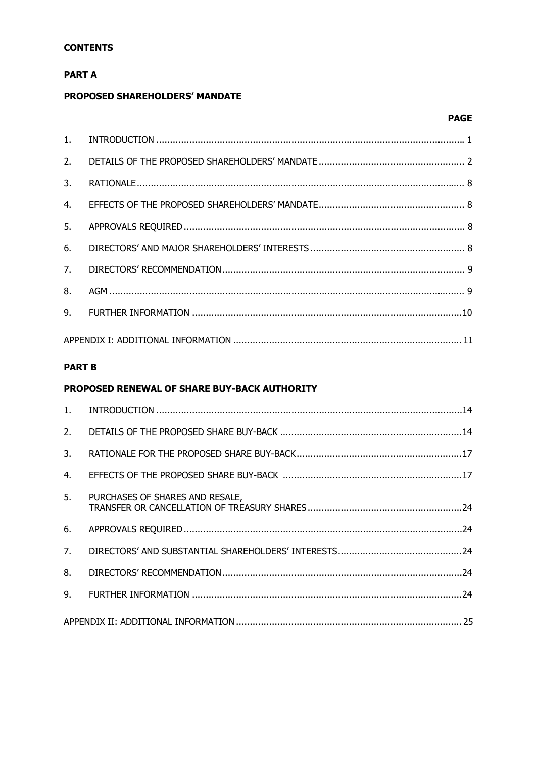# **CONTENTS**

# **PART A**

# PROPOSED SHAREHOLDERS' MANDATE

# **PAGE**

# **PART B**

# PROPOSED RENEWAL OF SHARE BUY-BACK AUTHORITY

| 3. |                                 |  |
|----|---------------------------------|--|
| 4. |                                 |  |
| 5. | PURCHASES OF SHARES AND RESALE, |  |
| 6. |                                 |  |
|    |                                 |  |
| 8. |                                 |  |
| 9. |                                 |  |
|    |                                 |  |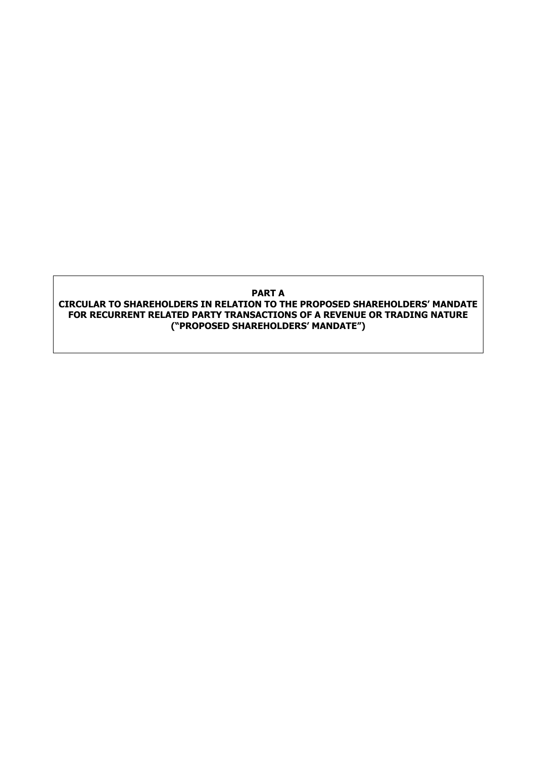# **PART A CIRCULAR TO SHAREHOLDERS IN RELATION TO THE PROPOSED SHAREHOLDERS' MANDATE FOR RECURRENT RELATED PARTY TRANSACTIONS OF A REVENUE OR TRADING NATURE ("PROPOSED SHAREHOLDERS' MANDATE")**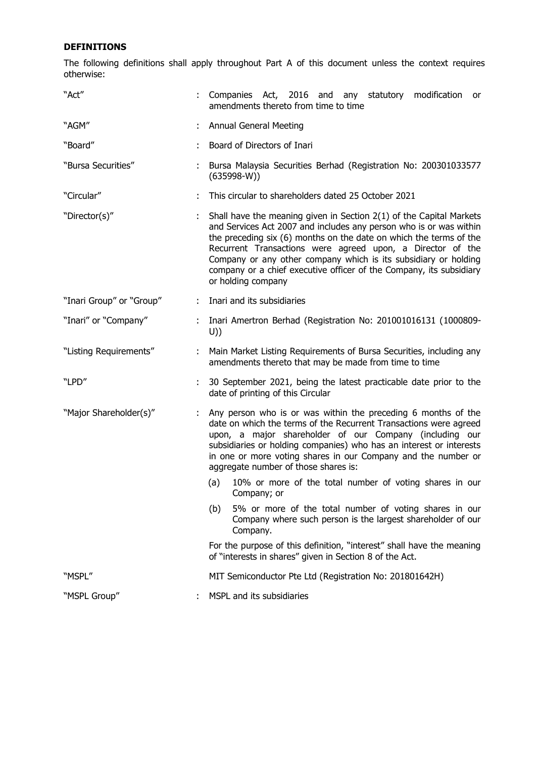# **DEFINITIONS**

The following definitions shall apply throughout Part A of this document unless the context requires otherwise:

| "Act"                    |    | Companies Act, 2016 and any statutory modification<br>or<br>amendments thereto from time to time                                                                                                                                                                                                                                                                                                                                                |  |  |  |  |
|--------------------------|----|-------------------------------------------------------------------------------------------------------------------------------------------------------------------------------------------------------------------------------------------------------------------------------------------------------------------------------------------------------------------------------------------------------------------------------------------------|--|--|--|--|
| "AGM"                    |    | <b>Annual General Meeting</b>                                                                                                                                                                                                                                                                                                                                                                                                                   |  |  |  |  |
| "Board"                  |    | Board of Directors of Inari                                                                                                                                                                                                                                                                                                                                                                                                                     |  |  |  |  |
| "Bursa Securities"       |    | Bursa Malaysia Securities Berhad (Registration No: 200301033577<br>$(635998-W))$                                                                                                                                                                                                                                                                                                                                                                |  |  |  |  |
| "Circular"               |    | This circular to shareholders dated 25 October 2021                                                                                                                                                                                                                                                                                                                                                                                             |  |  |  |  |
| "Director(s)"            |    | Shall have the meaning given in Section $2(1)$ of the Capital Markets<br>and Services Act 2007 and includes any person who is or was within<br>the preceding six (6) months on the date on which the terms of the<br>Recurrent Transactions were agreed upon, a Director of the<br>Company or any other company which is its subsidiary or holding<br>company or a chief executive officer of the Company, its subsidiary<br>or holding company |  |  |  |  |
| "Inari Group" or "Group" |    | Inari and its subsidiaries                                                                                                                                                                                                                                                                                                                                                                                                                      |  |  |  |  |
| "Inari" or "Company"     |    | Inari Amertron Berhad (Registration No: 201001016131 (1000809-<br>U)                                                                                                                                                                                                                                                                                                                                                                            |  |  |  |  |
| "Listing Requirements"   |    | Main Market Listing Requirements of Bursa Securities, including any<br>amendments thereto that may be made from time to time                                                                                                                                                                                                                                                                                                                    |  |  |  |  |
| "LPD"                    |    | 30 September 2021, being the latest practicable date prior to the<br>date of printing of this Circular                                                                                                                                                                                                                                                                                                                                          |  |  |  |  |
| "Major Shareholder(s)"   | ÷. | Any person who is or was within the preceding 6 months of the<br>date on which the terms of the Recurrent Transactions were agreed<br>upon, a major shareholder of our Company (including our<br>subsidiaries or holding companies) who has an interest or interests<br>in one or more voting shares in our Company and the number or<br>aggregate number of those shares is:                                                                   |  |  |  |  |
|                          |    | 10% or more of the total number of voting shares in our<br>(a)<br>Company; or                                                                                                                                                                                                                                                                                                                                                                   |  |  |  |  |
|                          |    | 5% or more of the total number of voting shares in our<br>(b)<br>Company where such person is the largest shareholder of our<br>Company.                                                                                                                                                                                                                                                                                                        |  |  |  |  |
|                          |    | For the purpose of this definition, "interest" shall have the meaning<br>of "interests in shares" given in Section 8 of the Act.                                                                                                                                                                                                                                                                                                                |  |  |  |  |
| "MSPL"                   |    | MIT Semiconductor Pte Ltd (Registration No: 201801642H)                                                                                                                                                                                                                                                                                                                                                                                         |  |  |  |  |
| "MSPL Group"             |    | MSPL and its subsidiaries                                                                                                                                                                                                                                                                                                                                                                                                                       |  |  |  |  |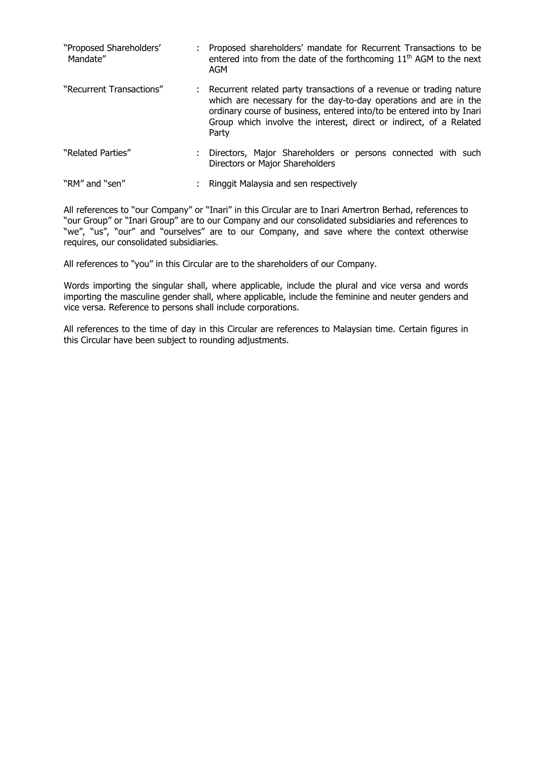| "Proposed Shareholders'<br>Mandate" | Proposed shareholders' mandate for Recurrent Transactions to be<br>entered into from the date of the forthcoming $11th$ AGM to the next<br>AGM                                                                                                                                                    |
|-------------------------------------|---------------------------------------------------------------------------------------------------------------------------------------------------------------------------------------------------------------------------------------------------------------------------------------------------|
| "Recurrent Transactions"            | : Recurrent related party transactions of a revenue or trading nature<br>which are necessary for the day-to-day operations and are in the<br>ordinary course of business, entered into/to be entered into by Inari<br>Group which involve the interest, direct or indirect, of a Related<br>Party |
| "Related Parties"                   | Directors, Major Shareholders or persons connected with such<br>Directors or Major Shareholders                                                                                                                                                                                                   |
| "RM" and "sen"                      | Ringgit Malaysia and sen respectively                                                                                                                                                                                                                                                             |

All references to "our Company" or "Inari" in this Circular are to Inari Amertron Berhad, references to "our Group" or "Inari Group" are to our Company and our consolidated subsidiaries and references to "we", "us", "our" and "ourselves" are to our Company, and save where the context otherwise requires, our consolidated subsidiaries.

All references to "you" in this Circular are to the shareholders of our Company.

Words importing the singular shall, where applicable, include the plural and vice versa and words importing the masculine gender shall, where applicable, include the feminine and neuter genders and vice versa. Reference to persons shall include corporations.

All references to the time of day in this Circular are references to Malaysian time. Certain figures in this Circular have been subject to rounding adjustments.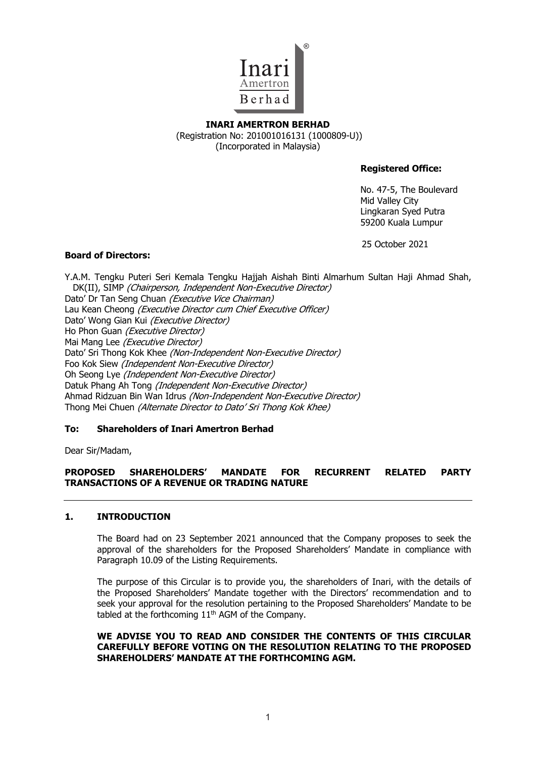

# **INARI AMERTRON BERHAD**  (Registration No: 201001016131 (1000809-U)) (Incorporated in Malaysia)

# **Registered Office:**

No. 47-5, The Boulevard Mid Valley City Lingkaran Syed Putra 59200 Kuala Lumpur

25 October 2021

# **Board of Directors:**

Y.A.M. Tengku Puteri Seri Kemala Tengku Hajjah Aishah Binti Almarhum Sultan Haji Ahmad Shah, DK(II), SIMP (Chairperson, Independent Non-Executive Director) Dato' Dr Tan Seng Chuan (Executive Vice Chairman) Lau Kean Cheong (Executive Director cum Chief Executive Officer) Dato' Wong Gian Kui (Executive Director) Ho Phon Guan (Executive Director) Mai Mang Lee (Executive Director) Dato' Sri Thong Kok Khee (Non-Independent Non-Executive Director) Foo Kok Siew (Independent Non-Executive Director) Oh Seong Lye (Independent Non-Executive Director) Datuk Phang Ah Tong (Independent Non-Executive Director) Ahmad Ridzuan Bin Wan Idrus (Non-Independent Non-Executive Director) Thong Mei Chuen (Alternate Director to Dato' Sri Thong Kok Khee)

# **To: Shareholders of Inari Amertron Berhad**

Dear Sir/Madam,

# **PROPOSED SHAREHOLDERS' MANDATE FOR RECURRENT RELATED PARTY TRANSACTIONS OF A REVENUE OR TRADING NATURE**

# **1. INTRODUCTION**

The Board had on 23 September 2021 announced that the Company proposes to seek the approval of the shareholders for the Proposed Shareholders' Mandate in compliance with Paragraph 10.09 of the Listing Requirements.

The purpose of this Circular is to provide you, the shareholders of Inari, with the details of the Proposed Shareholders' Mandate together with the Directors' recommendation and to seek your approval for the resolution pertaining to the Proposed Shareholders' Mandate to be tabled at the forthcoming 11<sup>th</sup> AGM of the Company.

# **WE ADVISE YOU TO READ AND CONSIDER THE CONTENTS OF THIS CIRCULAR CAREFULLY BEFORE VOTING ON THE RESOLUTION RELATING TO THE PROPOSED SHAREHOLDERS' MANDATE AT THE FORTHCOMING AGM.**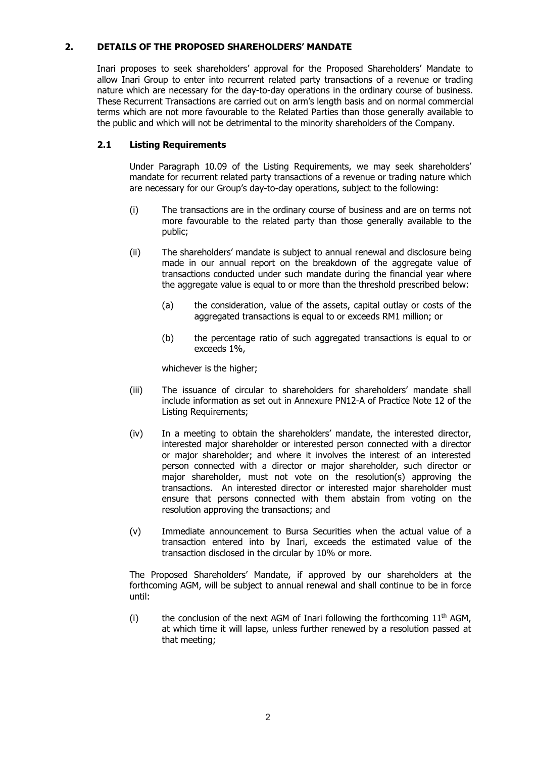# **2. DETAILS OF THE PROPOSED SHAREHOLDERS' MANDATE**

Inari proposes to seek shareholders' approval for the Proposed Shareholders' Mandate to allow Inari Group to enter into recurrent related party transactions of a revenue or trading nature which are necessary for the day-to-day operations in the ordinary course of business. These Recurrent Transactions are carried out on arm's length basis and on normal commercial terms which are not more favourable to the Related Parties than those generally available to the public and which will not be detrimental to the minority shareholders of the Company.

# **2.1 Listing Requirements**

Under Paragraph 10.09 of the Listing Requirements, we may seek shareholders' mandate for recurrent related party transactions of a revenue or trading nature which are necessary for our Group's day-to-day operations, subject to the following:

- (i) The transactions are in the ordinary course of business and are on terms not more favourable to the related party than those generally available to the public;
- (ii) The shareholders' mandate is subject to annual renewal and disclosure being made in our annual report on the breakdown of the aggregate value of transactions conducted under such mandate during the financial year where the aggregate value is equal to or more than the threshold prescribed below:
	- (a) the consideration, value of the assets, capital outlay or costs of the aggregated transactions is equal to or exceeds RM1 million; or
	- (b) the percentage ratio of such aggregated transactions is equal to or exceeds 1%,

whichever is the higher;

- (iii) The issuance of circular to shareholders for shareholders' mandate shall include information as set out in Annexure PN12-A of Practice Note 12 of the Listing Requirements;
- (iv) In a meeting to obtain the shareholders' mandate, the interested director, interested major shareholder or interested person connected with a director or major shareholder; and where it involves the interest of an interested person connected with a director or major shareholder, such director or major shareholder, must not vote on the resolution(s) approving the transactions. An interested director or interested major shareholder must ensure that persons connected with them abstain from voting on the resolution approving the transactions; and
- (v) Immediate announcement to Bursa Securities when the actual value of a transaction entered into by Inari, exceeds the estimated value of the transaction disclosed in the circular by 10% or more.

The Proposed Shareholders' Mandate, if approved by our shareholders at the forthcoming AGM, will be subject to annual renewal and shall continue to be in force until:

(i) the conclusion of the next AGM of Inari following the forthcoming  $11<sup>th</sup>$  AGM, at which time it will lapse, unless further renewed by a resolution passed at that meeting;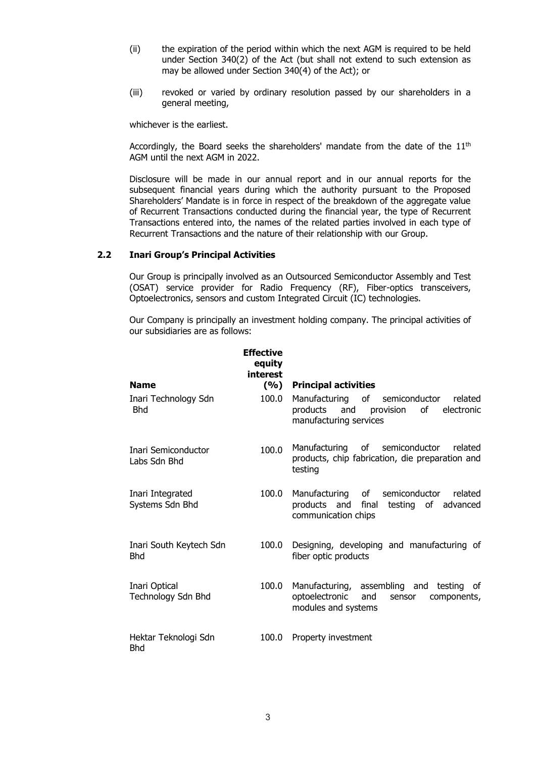- (ii) the expiration of the period within which the next AGM is required to be held under Section 340(2) of the Act (but shall not extend to such extension as may be allowed under Section 340(4) of the Act); or
- (iii) revoked or varied by ordinary resolution passed by our shareholders in a general meeting,

whichever is the earliest.

Accordingly, the Board seeks the shareholders' mandate from the date of the  $11<sup>th</sup>$ AGM until the next AGM in 2022.

Disclosure will be made in our annual report and in our annual reports for the subsequent financial years during which the authority pursuant to the Proposed Shareholders' Mandate is in force in respect of the breakdown of the aggregate value of Recurrent Transactions conducted during the financial year, the type of Recurrent Transactions entered into, the names of the related parties involved in each type of Recurrent Transactions and the nature of their relationship with our Group.

# **2.2 Inari Group's Principal Activities**

Our Group is principally involved as an Outsourced Semiconductor Assembly and Test (OSAT) service provider for Radio Frequency (RF), Fiber-optics transceivers, Optoelectronics, sensors and custom Integrated Circuit (IC) technologies.

Our Company is principally an investment holding company. The principal activities of our subsidiaries are as follows:

|                                       | <b>Effective</b><br>equity<br>interest |                                                                                                                         |
|---------------------------------------|----------------------------------------|-------------------------------------------------------------------------------------------------------------------------|
| <b>Name</b>                           | (9/0)                                  | <b>Principal activities</b>                                                                                             |
| Inari Technology Sdn<br><b>Bhd</b>    | 100.0                                  | Manufacturing of<br>semiconductor<br>related<br>and provision<br>of<br>electronic<br>products<br>manufacturing services |
| Inari Semiconductor<br>Labs Sdn Bhd   | 100.0                                  | of<br>semiconductor<br>Manufacturing<br>related<br>products, chip fabrication, die preparation and<br>testing           |
| Inari Integrated<br>Systems Sdn Bhd   | 100.0                                  | Manufacturing of<br>semiconductor<br>related<br>products and final<br>testing of advanced<br>communication chips        |
| Inari South Keytech Sdn<br><b>Bhd</b> | 100.0                                  | Designing, developing and manufacturing of<br>fiber optic products                                                      |
| Inari Optical<br>Technology Sdn Bhd   | 100.0                                  | Manufacturing, assembling and testing<br>of<br>optoelectronic<br>and<br>components,<br>sensor<br>modules and systems    |
| Hektar Teknologi Sdn<br><b>Bhd</b>    | 100.0                                  | Property investment                                                                                                     |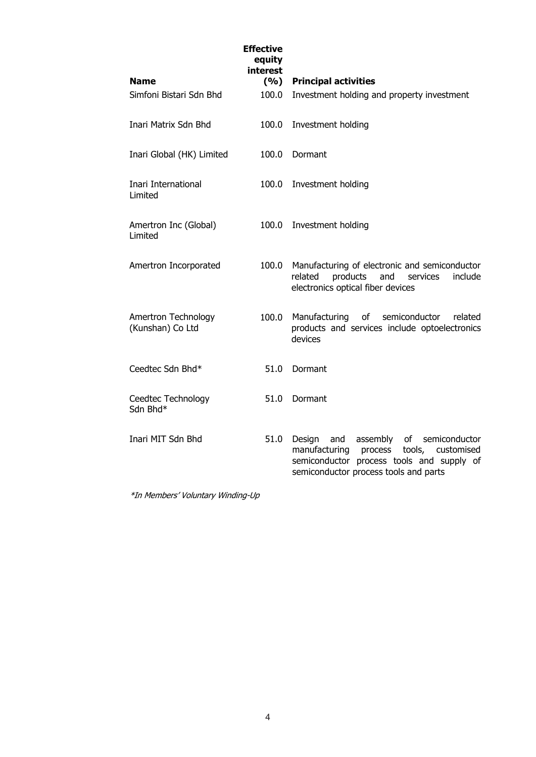| <b>Name</b>                             | <b>Effective</b><br>equity<br>interest<br>(9/6) | <b>Principal activities</b>                                                                                                                                                                |
|-----------------------------------------|-------------------------------------------------|--------------------------------------------------------------------------------------------------------------------------------------------------------------------------------------------|
|                                         |                                                 |                                                                                                                                                                                            |
| Simfoni Bistari Sdn Bhd                 | 100.0                                           | Investment holding and property investment                                                                                                                                                 |
| Inari Matrix Sdn Bhd                    | 100.0                                           | Investment holding                                                                                                                                                                         |
| Inari Global (HK) Limited               | 100.0                                           | Dormant                                                                                                                                                                                    |
| Inari International<br>Limited          | 100.0                                           | Investment holding                                                                                                                                                                         |
| Amertron Inc (Global)<br>Limited        | 100.0                                           | Investment holding                                                                                                                                                                         |
| Amertron Incorporated                   | 100.0                                           | Manufacturing of electronic and semiconductor<br>products<br>include<br>related<br>and<br>services<br>electronics optical fiber devices                                                    |
| Amertron Technology<br>(Kunshan) Co Ltd | 100.0                                           | Manufacturing<br>of<br>semiconductor<br>related<br>products and services include optoelectronics<br>devices                                                                                |
| Ceedtec Sdn Bhd*                        | 51.0                                            | Dormant                                                                                                                                                                                    |
| Ceedtec Technology<br>Sdn Bhd*          | 51.0                                            | Dormant                                                                                                                                                                                    |
| Inari MIT Sdn Bhd                       | 51.0                                            | assembly<br>Design<br>and<br>of<br>semiconductor<br>manufacturing<br>process<br>tools,<br>customised<br>semiconductor process tools and supply of<br>semiconductor process tools and parts |
| *In Members' Voluntary Winding-Up       |                                                 |                                                                                                                                                                                            |

4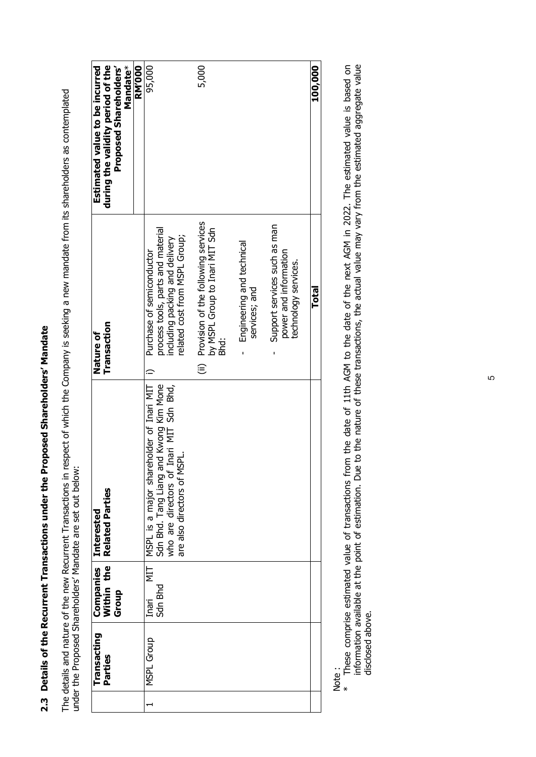2.3 Details of the Recurrent Transactions under the Proposed Shareholders' Mandate **2.3 Details of the Recurrent Transactions under the Proposed Shareholders' Mandate** The details and nature of the new Recurrent Transactions in respect of which the Company is seeking a new mandate from its shareholders as contemplated<br>under the Proposed Shareholders' Mandate are set out below: The details and nature of the new Recurrent Transactions in respect of which the Company is seeking a new mandate from its shareholders as contemplated under the Proposed Shareholders' Mandate are set out below:

| during the validity period of the<br>Mandate*<br><b>Proposed Shareholders'</b><br>Estimated value to be incurred | 95,000<br>5,000<br><b>RM'000</b>                                                                                                                                                                                                                                                       |                                                                               | 100,000 |
|------------------------------------------------------------------------------------------------------------------|----------------------------------------------------------------------------------------------------------------------------------------------------------------------------------------------------------------------------------------------------------------------------------------|-------------------------------------------------------------------------------|---------|
| Transaction<br>Nature of                                                                                         | (ii) Provision of the following services<br>by MSPL Group to Inari MIT Sdn<br>process tools, parts and material<br>related cost from MSPL Group;<br>including packing and delivery<br>Engineering and technical<br>Purchase of semiconductor<br>services; and<br>i<br>Bhi<br>$\hat{=}$ | Support services such as man<br>power and information<br>technology services. | Total   |
| <b>Related Parties</b><br>Interested                                                                             | MSPL is a major shareholder of Inari MIT<br>Sdn Bhd. Tang Liang and Kwong Kim Mone<br>who are directors of Inari MIT Sdn Bhd,<br>are also directors of MSPL.                                                                                                                           |                                                                               |         |
| Within the<br>Companies<br>Group                                                                                 | ЦN<br>Sdn Bhd<br>Inari                                                                                                                                                                                                                                                                 |                                                                               |         |
| Transacting<br>Parties                                                                                           | MSPL Group                                                                                                                                                                                                                                                                             |                                                                               |         |
|                                                                                                                  |                                                                                                                                                                                                                                                                                        |                                                                               |         |

ne<br>Note<br>2 \*

These comprise estimated value of transactions from the date of 11th AGM to the date of the next AGM in 2022. The estimated value is based on<br>information available at the point of estimation. Due to the nature of these tra These comprise estimated value of transactions from the date of 11th AGM to the date of the next AGM in 2022. The estimated value is based on information available at the point of estimation. Due to the nature of these transactions, the actual value may vary from the estimated aggregate value disclosed above. disclosed above.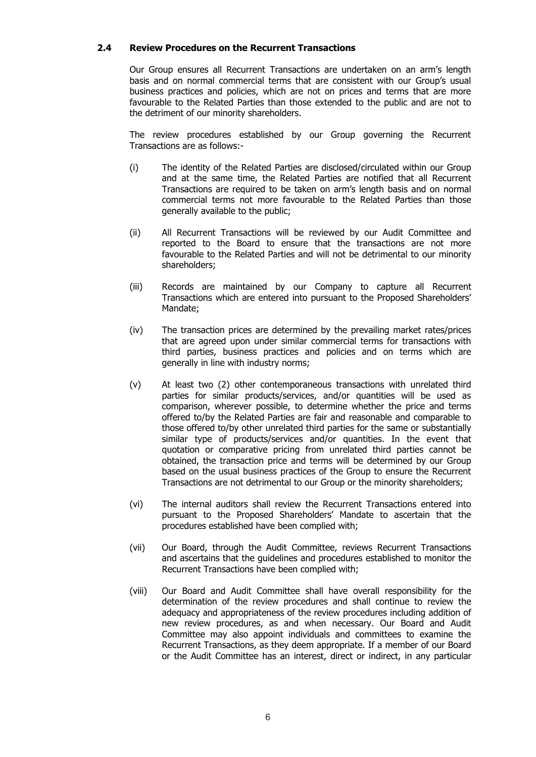# **2.4 Review Procedures on the Recurrent Transactions**

Our Group ensures all Recurrent Transactions are undertaken on an arm's length basis and on normal commercial terms that are consistent with our Group's usual business practices and policies, which are not on prices and terms that are more favourable to the Related Parties than those extended to the public and are not to the detriment of our minority shareholders.

The review procedures established by our Group governing the Recurrent Transactions are as follows:-

- (i) The identity of the Related Parties are disclosed/circulated within our Group and at the same time, the Related Parties are notified that all Recurrent Transactions are required to be taken on arm's length basis and on normal commercial terms not more favourable to the Related Parties than those generally available to the public;
- (ii) All Recurrent Transactions will be reviewed by our Audit Committee and reported to the Board to ensure that the transactions are not more favourable to the Related Parties and will not be detrimental to our minority shareholders;
- (iii) Records are maintained by our Company to capture all Recurrent Transactions which are entered into pursuant to the Proposed Shareholders' Mandate;
- (iv) The transaction prices are determined by the prevailing market rates/prices that are agreed upon under similar commercial terms for transactions with third parties, business practices and policies and on terms which are generally in line with industry norms;
- (v) At least two (2) other contemporaneous transactions with unrelated third parties for similar products/services, and/or quantities will be used as comparison, wherever possible, to determine whether the price and terms offered to/by the Related Parties are fair and reasonable and comparable to those offered to/by other unrelated third parties for the same or substantially similar type of products/services and/or quantities. In the event that quotation or comparative pricing from unrelated third parties cannot be obtained, the transaction price and terms will be determined by our Group based on the usual business practices of the Group to ensure the Recurrent Transactions are not detrimental to our Group or the minority shareholders;
- (vi) The internal auditors shall review the Recurrent Transactions entered into pursuant to the Proposed Shareholders' Mandate to ascertain that the procedures established have been complied with;
- (vii) Our Board, through the Audit Committee, reviews Recurrent Transactions and ascertains that the guidelines and procedures established to monitor the Recurrent Transactions have been complied with;
- (viii) Our Board and Audit Committee shall have overall responsibility for the determination of the review procedures and shall continue to review the adequacy and appropriateness of the review procedures including addition of new review procedures, as and when necessary. Our Board and Audit Committee may also appoint individuals and committees to examine the Recurrent Transactions, as they deem appropriate. If a member of our Board or the Audit Committee has an interest, direct or indirect, in any particular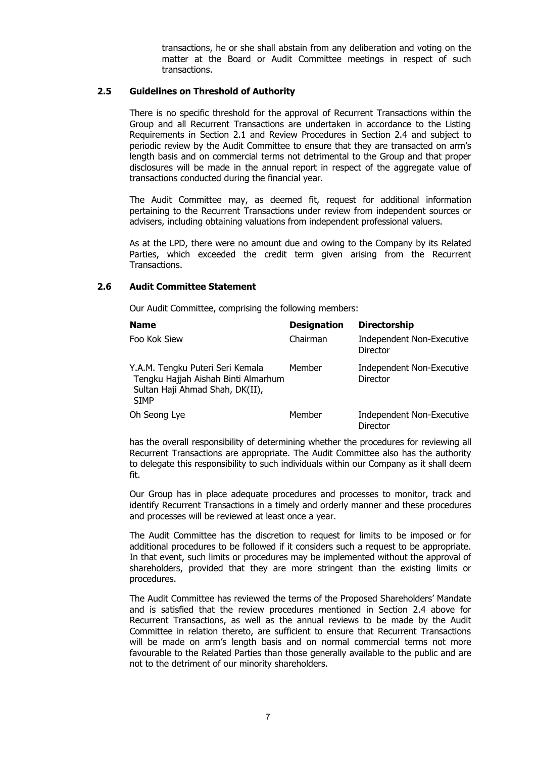transactions, he or she shall abstain from any deliberation and voting on the matter at the Board or Audit Committee meetings in respect of such transactions.

# **2.5 Guidelines on Threshold of Authority**

There is no specific threshold for the approval of Recurrent Transactions within the Group and all Recurrent Transactions are undertaken in accordance to the Listing Requirements in Section 2.1 and Review Procedures in Section 2.4 and subject to periodic review by the Audit Committee to ensure that they are transacted on arm's length basis and on commercial terms not detrimental to the Group and that proper disclosures will be made in the annual report in respect of the aggregate value of transactions conducted during the financial year.

The Audit Committee may, as deemed fit, request for additional information pertaining to the Recurrent Transactions under review from independent sources or advisers, including obtaining valuations from independent professional valuers.

As at the LPD, there were no amount due and owing to the Company by its Related Parties, which exceeded the credit term given arising from the Recurrent Transactions.

# **2.6 Audit Committee Statement**

Our Audit Committee, comprising the following members:

| <b>Name</b>                                                                                                               | <b>Designation</b> | <b>Directorship</b>                          |
|---------------------------------------------------------------------------------------------------------------------------|--------------------|----------------------------------------------|
| Foo Kok Siew                                                                                                              | Chairman           | <b>Independent Non-Executive</b><br>Director |
| Y.A.M. Tengku Puteri Seri Kemala<br>Tengku Hajjah Aishah Binti Almarhum<br>Sultan Haji Ahmad Shah, DK(II),<br><b>SIMP</b> | Member             | Independent Non-Executive<br><b>Director</b> |
| Oh Seong Lye                                                                                                              | Member             | Independent Non-Executive<br>Director        |

has the overall responsibility of determining whether the procedures for reviewing all Recurrent Transactions are appropriate. The Audit Committee also has the authority to delegate this responsibility to such individuals within our Company as it shall deem fit.

Our Group has in place adequate procedures and processes to monitor, track and identify Recurrent Transactions in a timely and orderly manner and these procedures and processes will be reviewed at least once a year.

The Audit Committee has the discretion to request for limits to be imposed or for additional procedures to be followed if it considers such a request to be appropriate. In that event, such limits or procedures may be implemented without the approval of shareholders, provided that they are more stringent than the existing limits or procedures.

The Audit Committee has reviewed the terms of the Proposed Shareholders' Mandate and is satisfied that the review procedures mentioned in Section 2.4 above for Recurrent Transactions, as well as the annual reviews to be made by the Audit Committee in relation thereto, are sufficient to ensure that Recurrent Transactions will be made on arm's length basis and on normal commercial terms not more favourable to the Related Parties than those generally available to the public and are not to the detriment of our minority shareholders.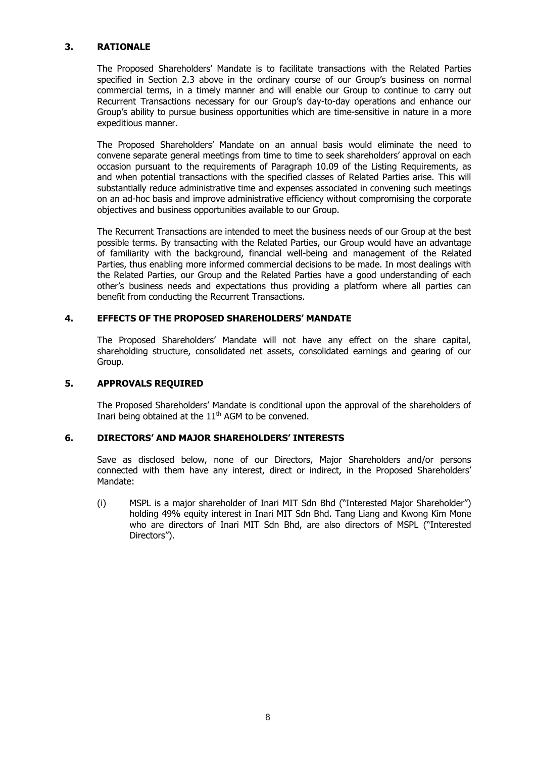# **3. RATIONALE**

The Proposed Shareholders' Mandate is to facilitate transactions with the Related Parties specified in Section 2.3 above in the ordinary course of our Group's business on normal commercial terms, in a timely manner and will enable our Group to continue to carry out Recurrent Transactions necessary for our Group's day-to-day operations and enhance our Group's ability to pursue business opportunities which are time-sensitive in nature in a more expeditious manner.

The Proposed Shareholders' Mandate on an annual basis would eliminate the need to convene separate general meetings from time to time to seek shareholders' approval on each occasion pursuant to the requirements of Paragraph 10.09 of the Listing Requirements, as and when potential transactions with the specified classes of Related Parties arise. This will substantially reduce administrative time and expenses associated in convening such meetings on an ad-hoc basis and improve administrative efficiency without compromising the corporate objectives and business opportunities available to our Group.

The Recurrent Transactions are intended to meet the business needs of our Group at the best possible terms. By transacting with the Related Parties, our Group would have an advantage of familiarity with the background, financial well-being and management of the Related Parties, thus enabling more informed commercial decisions to be made. In most dealings with the Related Parties, our Group and the Related Parties have a good understanding of each other's business needs and expectations thus providing a platform where all parties can benefit from conducting the Recurrent Transactions.

# **4. EFFECTS OF THE PROPOSED SHAREHOLDERS' MANDATE**

The Proposed Shareholders' Mandate will not have any effect on the share capital, shareholding structure, consolidated net assets, consolidated earnings and gearing of our Group.

# **5. APPROVALS REQUIRED**

The Proposed Shareholders' Mandate is conditional upon the approval of the shareholders of Inari being obtained at the  $11<sup>th</sup>$  AGM to be convened.

# **6. DIRECTORS' AND MAJOR SHAREHOLDERS' INTERESTS**

Save as disclosed below, none of our Directors, Major Shareholders and/or persons connected with them have any interest, direct or indirect, in the Proposed Shareholders' Mandate:

(i) MSPL is a major shareholder of Inari MIT Sdn Bhd ("Interested Major Shareholder") holding 49% equity interest in Inari MIT Sdn Bhd. Tang Liang and Kwong Kim Mone who are directors of Inari MIT Sdn Bhd, are also directors of MSPL ("Interested Directors").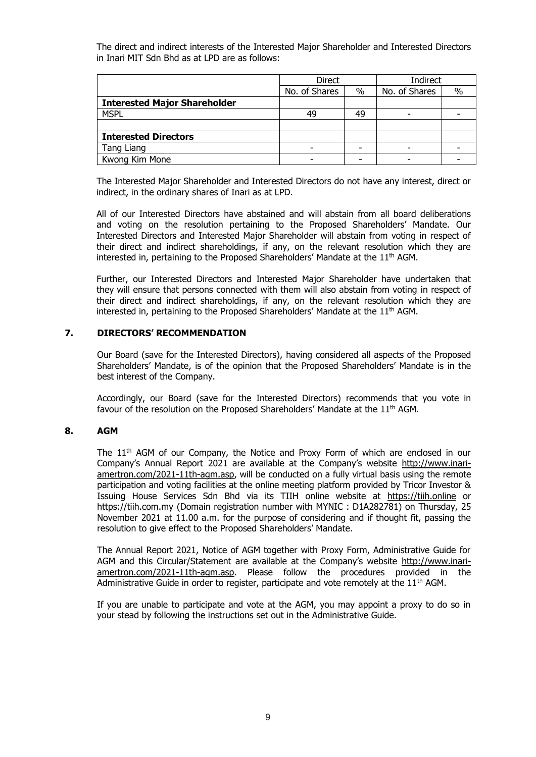The direct and indirect interests of the Interested Major Shareholder and Interested Directors in Inari MIT Sdn Bhd as at LPD are as follows:

|                                     | <b>Direct</b> |      | Indirect      |               |
|-------------------------------------|---------------|------|---------------|---------------|
|                                     | No. of Shares | $\%$ | No. of Shares | $\frac{0}{0}$ |
| <b>Interested Major Shareholder</b> |               |      |               |               |
| <b>MSPL</b>                         | 49            | 49   |               |               |
|                                     |               |      |               |               |
| <b>Interested Directors</b>         |               |      |               |               |
| Tang Liang                          |               |      |               |               |
| Kwong Kim Mone                      |               |      |               |               |

The Interested Major Shareholder and Interested Directors do not have any interest, direct or indirect, in the ordinary shares of Inari as at LPD.

All of our Interested Directors have abstained and will abstain from all board deliberations and voting on the resolution pertaining to the Proposed Shareholders' Mandate. Our Interested Directors and Interested Major Shareholder will abstain from voting in respect of their direct and indirect shareholdings, if any, on the relevant resolution which they are interested in, pertaining to the Proposed Shareholders' Mandate at the 11<sup>th</sup> AGM.

Further, our Interested Directors and Interested Major Shareholder have undertaken that they will ensure that persons connected with them will also abstain from voting in respect of their direct and indirect shareholdings, if any, on the relevant resolution which they are interested in, pertaining to the Proposed Shareholders' Mandate at the 11<sup>th</sup> AGM.

# **7. DIRECTORS' RECOMMENDATION**

Our Board (save for the Interested Directors), having considered all aspects of the Proposed Shareholders' Mandate, is of the opinion that the Proposed Shareholders' Mandate is in the best interest of the Company.

Accordingly, our Board (save for the Interested Directors) recommends that you vote in favour of the resolution on the Proposed Shareholders' Mandate at the  $11<sup>th</sup>$  AGM.

# **8. AGM**

The 11<sup>th</sup> AGM of our Company, the Notice and Proxy Form of which are enclosed in our Company's Annual Report 2021 are available at the Company's website http://www.inariamertron.com/2021-11th-agm.asp, will be conducted on a fully virtual basis using the remote participation and voting facilities at the online meeting platform provided by Tricor Investor & Issuing House Services Sdn Bhd via its TIIH online website at https://tiih.online or https://tiih.com.my (Domain registration number with MYNIC : D1A282781) on Thursday, 25 November 2021 at 11.00 a.m. for the purpose of considering and if thought fit, passing the resolution to give effect to the Proposed Shareholders' Mandate.

The Annual Report 2021, Notice of AGM together with Proxy Form, Administrative Guide for AGM and this Circular/Statement are available at the Company's website http://www.inariamertron.com/2021-11th-agm.asp. Please follow the procedures provided in the Administrative Guide in order to register, participate and vote remotely at the  $11<sup>th</sup>$  AGM.

If you are unable to participate and vote at the AGM, you may appoint a proxy to do so in your stead by following the instructions set out in the Administrative Guide.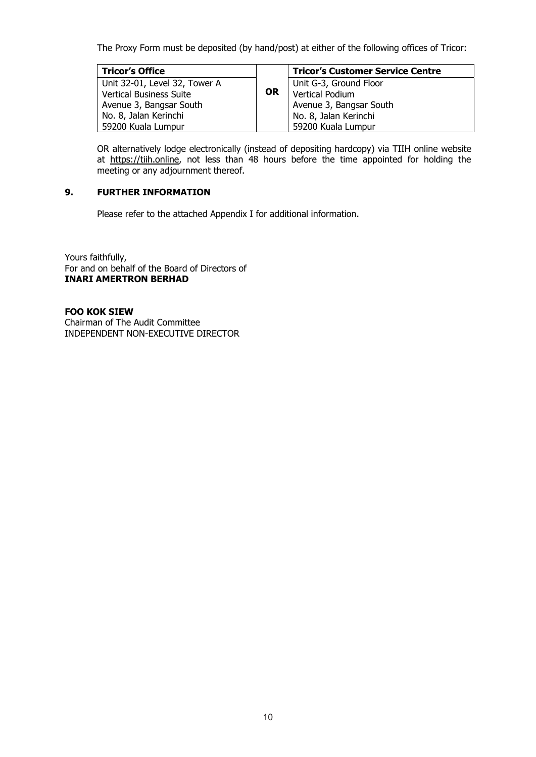The Proxy Form must be deposited (by hand/post) at either of the following offices of Tricor:

| <b>Tricor's Office</b>         |           | <b>Tricor's Customer Service Centre</b> |
|--------------------------------|-----------|-----------------------------------------|
| Unit 32-01, Level 32, Tower A  |           | Unit G-3, Ground Floor                  |
| <b>Vertical Business Suite</b> | <b>OR</b> | Vertical Podium                         |
| Avenue 3, Bangsar South        |           | Avenue 3, Bangsar South                 |
| No. 8, Jalan Kerinchi          |           | No. 8, Jalan Kerinchi                   |
| 59200 Kuala Lumpur             |           | 59200 Kuala Lumpur                      |

OR alternatively lodge electronically (instead of depositing hardcopy) via TIIH online website at https://tiih.online, not less than 48 hours before the time appointed for holding the meeting or any adjournment thereof.

# **9. FURTHER INFORMATION**

Please refer to the attached Appendix I for additional information.

Yours faithfully, For and on behalf of the Board of Directors of **INARI AMERTRON BERHAD** 

# **FOO KOK SIEW**

Chairman of The Audit Committee INDEPENDENT NON-EXECUTIVE DIRECTOR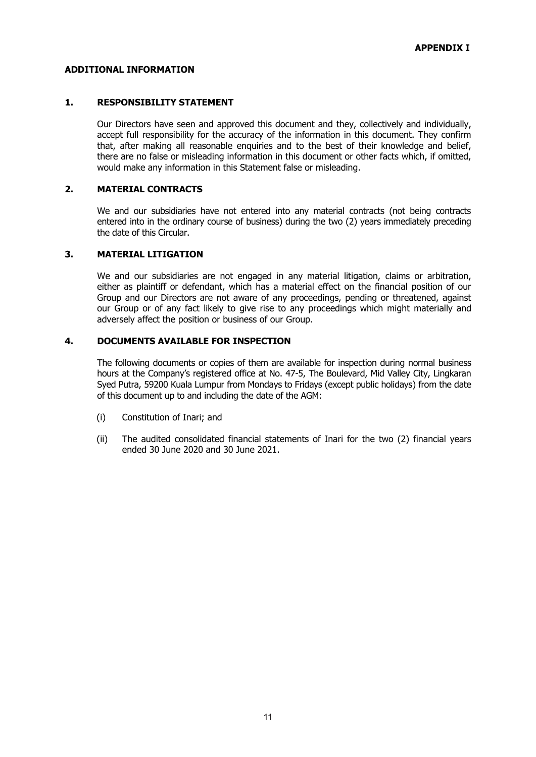# **ADDITIONAL INFORMATION**

# **1. RESPONSIBILITY STATEMENT**

Our Directors have seen and approved this document and they, collectively and individually, accept full responsibility for the accuracy of the information in this document. They confirm that, after making all reasonable enquiries and to the best of their knowledge and belief, there are no false or misleading information in this document or other facts which, if omitted, would make any information in this Statement false or misleading.

# **2. MATERIAL CONTRACTS**

We and our subsidiaries have not entered into any material contracts (not being contracts entered into in the ordinary course of business) during the two (2) years immediately preceding the date of this Circular.

# **3. MATERIAL LITIGATION**

We and our subsidiaries are not engaged in any material litigation, claims or arbitration, either as plaintiff or defendant, which has a material effect on the financial position of our Group and our Directors are not aware of any proceedings, pending or threatened, against our Group or of any fact likely to give rise to any proceedings which might materially and adversely affect the position or business of our Group.

# **4. DOCUMENTS AVAILABLE FOR INSPECTION**

 The following documents or copies of them are available for inspection during normal business hours at the Company's registered office at No. 47-5, The Boulevard, Mid Valley City, Lingkaran Syed Putra, 59200 Kuala Lumpur from Mondays to Fridays (except public holidays) from the date of this document up to and including the date of the AGM:

- (i) Constitution of Inari; and
- (ii) The audited consolidated financial statements of Inari for the two (2) financial years ended 30 June 2020 and 30 June 2021.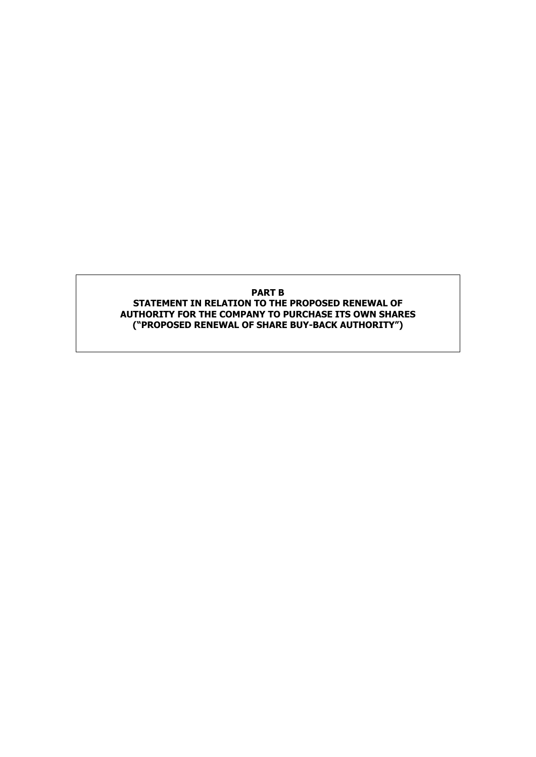# **PART B STATEMENT IN RELATION TO THE PROPOSED RENEWAL OF AUTHORITY FOR THE COMPANY TO PURCHASE ITS OWN SHARES ("PROPOSED RENEWAL OF SHARE BUY-BACK AUTHORITY")**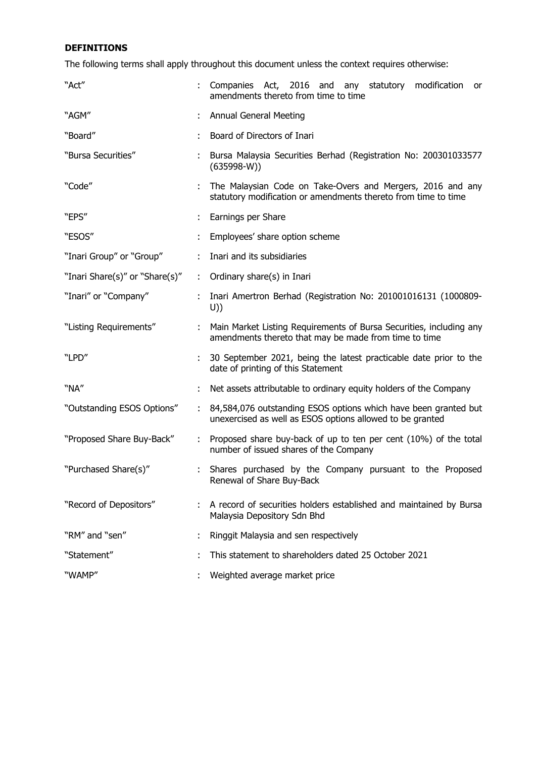# **DEFINITIONS**

The following terms shall apply throughout this document unless the context requires otherwise:

| "Act"                          |    | Companies Act, 2016 and any statutory modification<br>or<br>amendments thereto from time to time                             |  |  |  |
|--------------------------------|----|------------------------------------------------------------------------------------------------------------------------------|--|--|--|
| "AGM"                          |    | <b>Annual General Meeting</b>                                                                                                |  |  |  |
| "Board"                        |    | Board of Directors of Inari                                                                                                  |  |  |  |
| "Bursa Securities"             |    | Bursa Malaysia Securities Berhad (Registration No: 200301033577<br>$(635998-W))$                                             |  |  |  |
| "Code"                         |    | The Malaysian Code on Take-Overs and Mergers, 2016 and any<br>statutory modification or amendments thereto from time to time |  |  |  |
| "EPS"                          |    | Earnings per Share                                                                                                           |  |  |  |
| "ESOS"                         |    | Employees' share option scheme                                                                                               |  |  |  |
| "Inari Group" or "Group"       |    | Inari and its subsidiaries                                                                                                   |  |  |  |
| "Inari Share(s)" or "Share(s)" | ÷. | Ordinary share(s) in Inari                                                                                                   |  |  |  |
| "Inari" or "Company"           |    | Inari Amertron Berhad (Registration No: 201001016131 (1000809-<br>U))                                                        |  |  |  |
| "Listing Requirements"         | ÷. | Main Market Listing Requirements of Bursa Securities, including any<br>amendments thereto that may be made from time to time |  |  |  |
| "LPD"                          |    | 30 September 2021, being the latest practicable date prior to the<br>date of printing of this Statement                      |  |  |  |
| "NA"                           |    | Net assets attributable to ordinary equity holders of the Company                                                            |  |  |  |
| "Outstanding ESOS Options"     | ÷. | 84,584,076 outstanding ESOS options which have been granted but<br>unexercised as well as ESOS options allowed to be granted |  |  |  |
| "Proposed Share Buy-Back"      |    | Proposed share buy-back of up to ten per cent (10%) of the total<br>number of issued shares of the Company                   |  |  |  |
| "Purchased Share(s)"           |    | Shares purchased by the Company pursuant to the Proposed<br>Renewal of Share Buy-Back                                        |  |  |  |
| "Record of Depositors"         |    | A record of securities holders established and maintained by Bursa<br>Malaysia Depository Sdn Bhd                            |  |  |  |
| "RM" and "sen"                 |    | Ringgit Malaysia and sen respectively                                                                                        |  |  |  |
| "Statement"                    |    | This statement to shareholders dated 25 October 2021                                                                         |  |  |  |
| "WAMP"                         |    | Weighted average market price                                                                                                |  |  |  |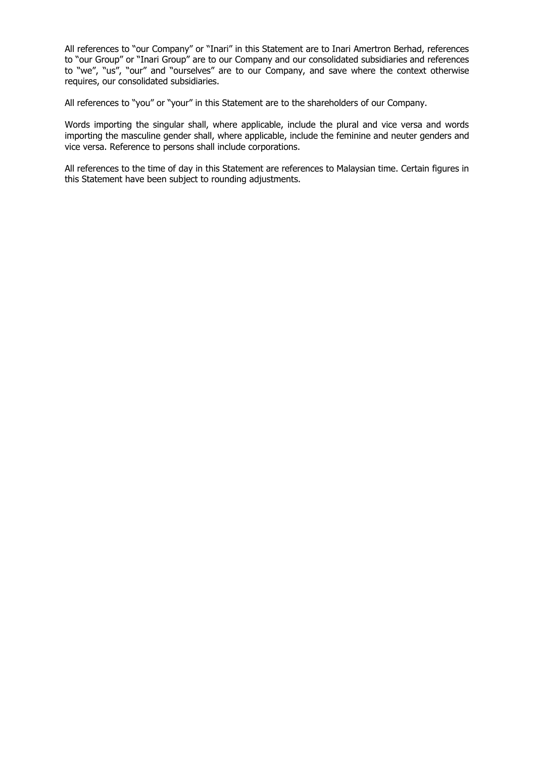All references to "our Company" or "Inari" in this Statement are to Inari Amertron Berhad, references to "our Group" or "Inari Group" are to our Company and our consolidated subsidiaries and references to "we", "us", "our" and "ourselves" are to our Company, and save where the context otherwise requires, our consolidated subsidiaries.

All references to "you" or "your" in this Statement are to the shareholders of our Company.

Words importing the singular shall, where applicable, include the plural and vice versa and words importing the masculine gender shall, where applicable, include the feminine and neuter genders and vice versa. Reference to persons shall include corporations.

All references to the time of day in this Statement are references to Malaysian time. Certain figures in this Statement have been subject to rounding adjustments.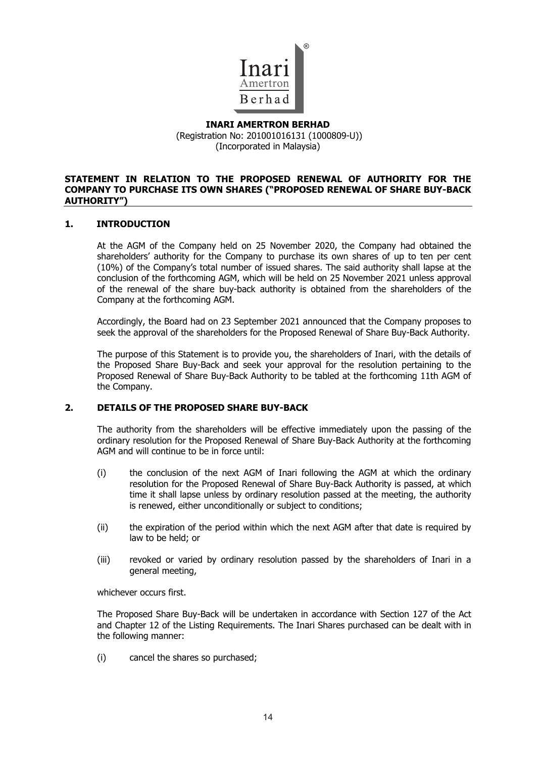

# **INARI AMERTRON BERHAD**  (Registration No: 201001016131 (1000809-U)) (Incorporated in Malaysia)

# **STATEMENT IN RELATION TO THE PROPOSED RENEWAL OF AUTHORITY FOR THE COMPANY TO PURCHASE ITS OWN SHARES ("PROPOSED RENEWAL OF SHARE BUY-BACK AUTHORITY")**

# **1. INTRODUCTION**

At the AGM of the Company held on 25 November 2020, the Company had obtained the shareholders' authority for the Company to purchase its own shares of up to ten per cent (10%) of the Company's total number of issued shares. The said authority shall lapse at the conclusion of the forthcoming AGM, which will be held on 25 November 2021 unless approval of the renewal of the share buy-back authority is obtained from the shareholders of the Company at the forthcoming AGM.

Accordingly, the Board had on 23 September 2021 announced that the Company proposes to seek the approval of the shareholders for the Proposed Renewal of Share Buy-Back Authority.

The purpose of this Statement is to provide you, the shareholders of Inari, with the details of the Proposed Share Buy-Back and seek your approval for the resolution pertaining to the Proposed Renewal of Share Buy-Back Authority to be tabled at the forthcoming 11th AGM of the Company.

# **2. DETAILS OF THE PROPOSED SHARE BUY-BACK**

The authority from the shareholders will be effective immediately upon the passing of the ordinary resolution for the Proposed Renewal of Share Buy-Back Authority at the forthcoming AGM and will continue to be in force until:

- (i) the conclusion of the next AGM of Inari following the AGM at which the ordinary resolution for the Proposed Renewal of Share Buy-Back Authority is passed, at which time it shall lapse unless by ordinary resolution passed at the meeting, the authority is renewed, either unconditionally or subject to conditions;
- (ii) the expiration of the period within which the next AGM after that date is required by law to be held; or
- (iii) revoked or varied by ordinary resolution passed by the shareholders of Inari in a general meeting,

whichever occurs first.

The Proposed Share Buy-Back will be undertaken in accordance with Section 127 of the Act and Chapter 12 of the Listing Requirements. The Inari Shares purchased can be dealt with in the following manner:

(i) cancel the shares so purchased;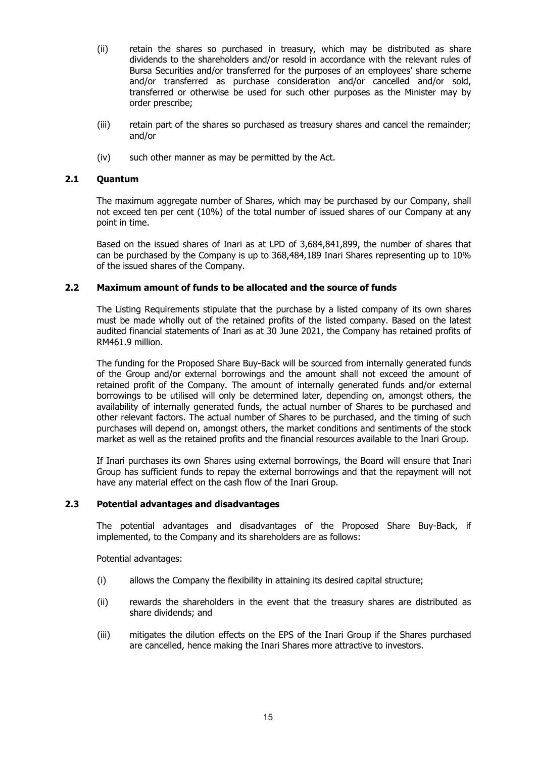- (ii) retain the shares so purchased in treasury, which may be distributed as share dividends to the shareholders and/or resold in accordance with the relevant rules of Bursa Securities and/or transferred for the purposes of an employees' share scheme and/or transferred as purchase consideration and/or cancelled and/or sold, transferred or otherwise be used for such other purposes as the Minister may by order prescribe;
- (iii) retain part of the shares so purchased as treasury shares and cancel the remainder; and/or
- (iv) such other manner as may be permitted by the Act.

# **2.1 Quantum**

The maximum aggregate number of Shares, which may be purchased by our Company, shall not exceed ten per cent (10%) of the total number of issued shares of our Company at any point in time.

Based on the issued shares of Inari as at LPD of 3,684,841,899, the number of shares that can be purchased by the Company is up to 368,484,189 Inari Shares representing up to 10% of the issued shares of the Company.

# **2.2 Maximum amount of funds to be allocated and the source of funds**

The Listing Requirements stipulate that the purchase by a listed company of its own shares must be made wholly out of the retained profits of the listed company. Based on the latest audited financial statements of Inari as at 30 June 2021, the Company has retained profits of RM461.9 million.

The funding for the Proposed Share Buy-Back will be sourced from internally generated funds of the Group and/or external borrowings and the amount shall not exceed the amount of retained profit of the Company. The amount of internally generated funds and/or external borrowings to be utilised will only be determined later, depending on, amongst others, the availability of internally generated funds, the actual number of Shares to be purchased and other relevant factors. The actual number of Shares to be purchased, and the timing of such purchases will depend on, amongst others, the market conditions and sentiments of the stock market as well as the retained profits and the financial resources available to the Inari Group.

If Inari purchases its own Shares using external borrowings, the Board will ensure that Inari Group has sufficient funds to repay the external borrowings and that the repayment will not have any material effect on the cash flow of the Inari Group.

# **2.3 Potential advantages and disadvantages**

The potential advantages and disadvantages of the Proposed Share Buy-Back, if implemented, to the Company and its shareholders are as follows:

Potential advantages:

- (i) allows the Company the flexibility in attaining its desired capital structure;
- (ii) rewards the shareholders in the event that the treasury shares are distributed as share dividends; and
- (iii) mitigates the dilution effects on the EPS of the Inari Group if the Shares purchased are cancelled, hence making the Inari Shares more attractive to investors.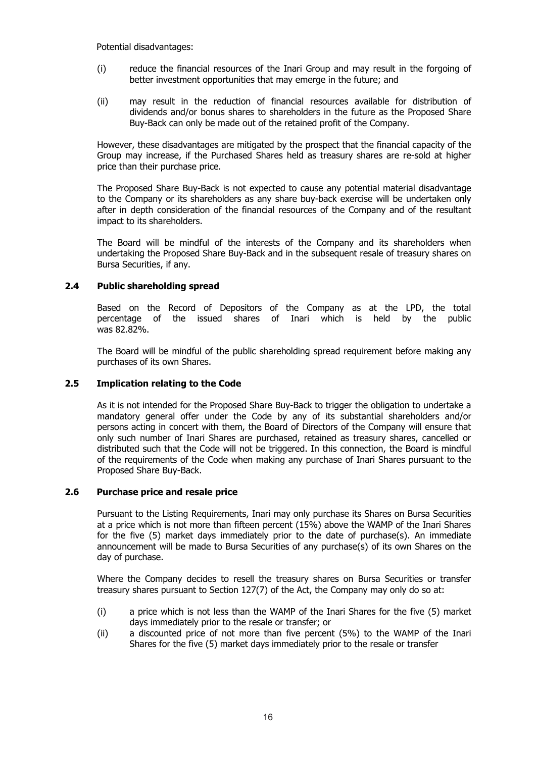Potential disadvantages:

- (i) reduce the financial resources of the Inari Group and may result in the forgoing of better investment opportunities that may emerge in the future; and
- (ii) may result in the reduction of financial resources available for distribution of dividends and/or bonus shares to shareholders in the future as the Proposed Share Buy-Back can only be made out of the retained profit of the Company.

However, these disadvantages are mitigated by the prospect that the financial capacity of the Group may increase, if the Purchased Shares held as treasury shares are re-sold at higher price than their purchase price.

The Proposed Share Buy-Back is not expected to cause any potential material disadvantage to the Company or its shareholders as any share buy-back exercise will be undertaken only after in depth consideration of the financial resources of the Company and of the resultant impact to its shareholders.

The Board will be mindful of the interests of the Company and its shareholders when undertaking the Proposed Share Buy-Back and in the subsequent resale of treasury shares on Bursa Securities, if any.

# **2.4 Public shareholding spread**

Based on the Record of Depositors of the Company as at the LPD, the total percentage of the issued shares of Inari which is held by the public was 82.82%.

The Board will be mindful of the public shareholding spread requirement before making any purchases of its own Shares.

# **2.5 Implication relating to the Code**

As it is not intended for the Proposed Share Buy-Back to trigger the obligation to undertake a mandatory general offer under the Code by any of its substantial shareholders and/or persons acting in concert with them, the Board of Directors of the Company will ensure that only such number of Inari Shares are purchased, retained as treasury shares, cancelled or distributed such that the Code will not be triggered. In this connection, the Board is mindful of the requirements of the Code when making any purchase of Inari Shares pursuant to the Proposed Share Buy-Back.

# **2.6 Purchase price and resale price**

Pursuant to the Listing Requirements, Inari may only purchase its Shares on Bursa Securities at a price which is not more than fifteen percent (15%) above the WAMP of the Inari Shares for the five (5) market days immediately prior to the date of purchase(s). An immediate announcement will be made to Bursa Securities of any purchase(s) of its own Shares on the day of purchase.

Where the Company decides to resell the treasury shares on Bursa Securities or transfer treasury shares pursuant to Section 127(7) of the Act, the Company may only do so at:

- (i) a price which is not less than the WAMP of the Inari Shares for the five (5) market days immediately prior to the resale or transfer; or
- (ii) a discounted price of not more than five percent (5%) to the WAMP of the Inari Shares for the five (5) market days immediately prior to the resale or transfer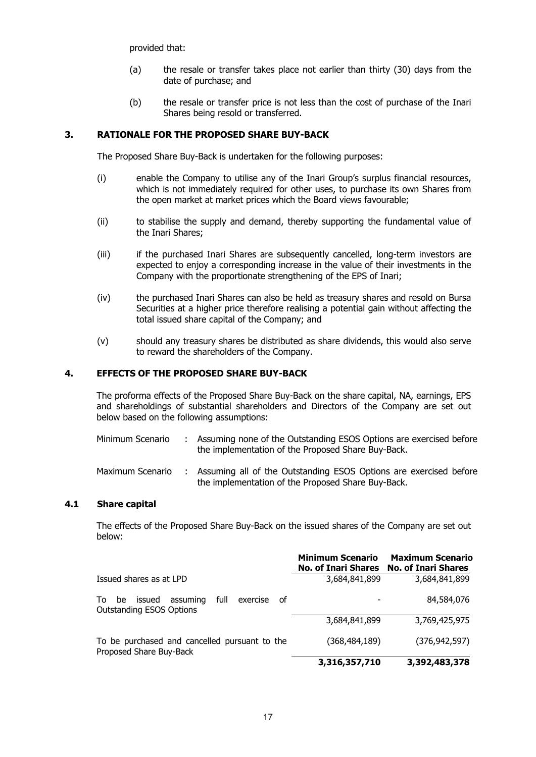provided that:

- (a) the resale or transfer takes place not earlier than thirty (30) days from the date of purchase; and
- (b) the resale or transfer price is not less than the cost of purchase of the Inari Shares being resold or transferred.

# **3. RATIONALE FOR THE PROPOSED SHARE BUY-BACK**

The Proposed Share Buy-Back is undertaken for the following purposes:

- (i) enable the Company to utilise any of the Inari Group's surplus financial resources, which is not immediately required for other uses, to purchase its own Shares from the open market at market prices which the Board views favourable;
- (ii) to stabilise the supply and demand, thereby supporting the fundamental value of the Inari Shares;
- (iii) if the purchased Inari Shares are subsequently cancelled, long-term investors are expected to enjoy a corresponding increase in the value of their investments in the Company with the proportionate strengthening of the EPS of Inari;
- (iv) the purchased Inari Shares can also be held as treasury shares and resold on Bursa Securities at a higher price therefore realising a potential gain without affecting the total issued share capital of the Company; and
- (v) should any treasury shares be distributed as share dividends, this would also serve to reward the shareholders of the Company.

# **4. EFFECTS OF THE PROPOSED SHARE BUY-BACK**

The proforma effects of the Proposed Share Buy-Back on the share capital, NA, earnings, EPS and shareholdings of substantial shareholders and Directors of the Company are set out below based on the following assumptions:

- Minimum Scenario : Assuming none of the Outstanding ESOS Options are exercised before the implementation of the Proposed Share Buy-Back.
- Maximum Scenario : Assuming all of the Outstanding ESOS Options are exercised before the implementation of the Proposed Share Buy-Back.

# **4.1 Share capital**

The effects of the Proposed Share Buy-Back on the issued shares of the Company are set out below:

|                                                                                               | <b>Minimum Scenario</b><br><b>No. of Inari Shares</b> | <b>Maximum Scenario</b><br><b>No. of Inari Shares</b> |
|-----------------------------------------------------------------------------------------------|-------------------------------------------------------|-------------------------------------------------------|
| Issued shares as at LPD                                                                       | 3,684,841,899                                         | 3,684,841,899                                         |
| full<br>issued<br>assuming<br>exercise<br>_of<br>To.<br>be<br><b>Outstanding ESOS Options</b> |                                                       | 84,584,076                                            |
|                                                                                               | 3,684,841,899                                         | 3,769,425,975                                         |
| To be purchased and cancelled pursuant to the<br>Proposed Share Buy-Back                      | (368, 484, 189)                                       | (376, 942, 597)                                       |
|                                                                                               | 3,316,357,710                                         | 3,392,483,378                                         |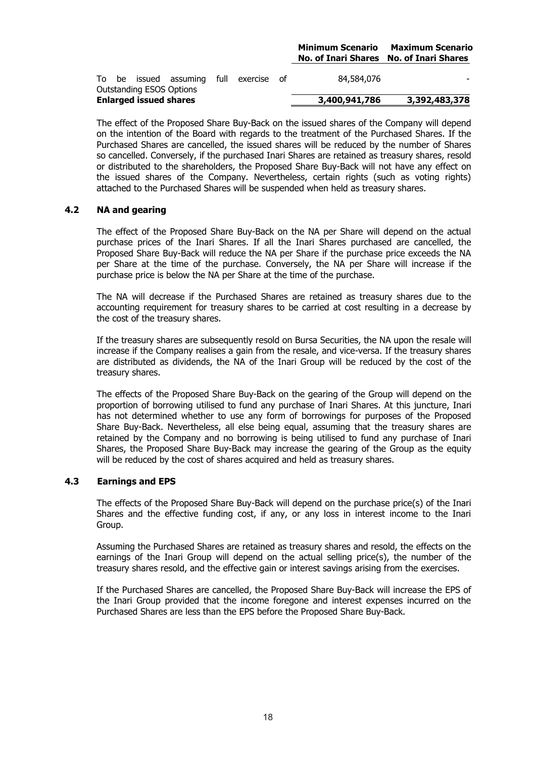### **Minimum Scenario Maximum Scenario No. of Inari Shares No. of Inari Shares**

|  | <b>Enlarged issued shares</b> |                                        |  | 3,400,941,786 | 3,392,483,378 |
|--|-------------------------------|----------------------------------------|--|---------------|---------------|
|  |                               | <b>Outstanding ESOS Options</b>        |  |               |               |
|  |                               | To be issued assuming full exercise of |  | 84,584,076    |               |

The effect of the Proposed Share Buy-Back on the issued shares of the Company will depend on the intention of the Board with regards to the treatment of the Purchased Shares. If the Purchased Shares are cancelled, the issued shares will be reduced by the number of Shares so cancelled. Conversely, if the purchased Inari Shares are retained as treasury shares, resold or distributed to the shareholders, the Proposed Share Buy-Back will not have any effect on the issued shares of the Company. Nevertheless, certain rights (such as voting rights) attached to the Purchased Shares will be suspended when held as treasury shares.

# **4.2 NA and gearing**

The effect of the Proposed Share Buy-Back on the NA per Share will depend on the actual purchase prices of the Inari Shares. If all the Inari Shares purchased are cancelled, the Proposed Share Buy-Back will reduce the NA per Share if the purchase price exceeds the NA per Share at the time of the purchase. Conversely, the NA per Share will increase if the purchase price is below the NA per Share at the time of the purchase.

The NA will decrease if the Purchased Shares are retained as treasury shares due to the accounting requirement for treasury shares to be carried at cost resulting in a decrease by the cost of the treasury shares.

If the treasury shares are subsequently resold on Bursa Securities, the NA upon the resale will increase if the Company realises a gain from the resale, and vice-versa. If the treasury shares are distributed as dividends, the NA of the Inari Group will be reduced by the cost of the treasury shares.

The effects of the Proposed Share Buy-Back on the gearing of the Group will depend on the proportion of borrowing utilised to fund any purchase of Inari Shares. At this juncture, Inari has not determined whether to use any form of borrowings for purposes of the Proposed Share Buy-Back. Nevertheless, all else being equal, assuming that the treasury shares are retained by the Company and no borrowing is being utilised to fund any purchase of Inari Shares, the Proposed Share Buy-Back may increase the gearing of the Group as the equity will be reduced by the cost of shares acquired and held as treasury shares.

# **4.3 Earnings and EPS**

The effects of the Proposed Share Buy-Back will depend on the purchase price(s) of the Inari Shares and the effective funding cost, if any, or any loss in interest income to the Inari Group.

Assuming the Purchased Shares are retained as treasury shares and resold, the effects on the earnings of the Inari Group will depend on the actual selling price(s), the number of the treasury shares resold, and the effective gain or interest savings arising from the exercises.

If the Purchased Shares are cancelled, the Proposed Share Buy-Back will increase the EPS of the Inari Group provided that the income foregone and interest expenses incurred on the Purchased Shares are less than the EPS before the Proposed Share Buy-Back.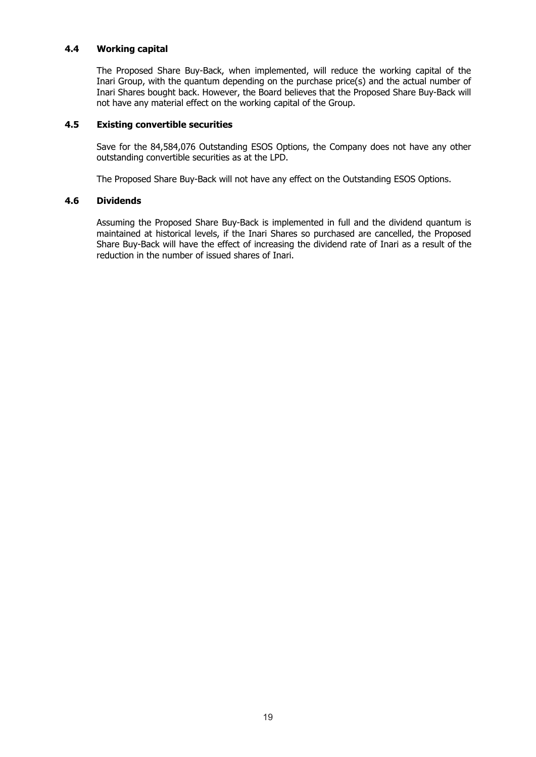# **4.4 Working capital**

The Proposed Share Buy-Back, when implemented, will reduce the working capital of the Inari Group, with the quantum depending on the purchase price(s) and the actual number of Inari Shares bought back. However, the Board believes that the Proposed Share Buy-Back will not have any material effect on the working capital of the Group.

# **4.5 Existing convertible securities**

Save for the 84,584,076 Outstanding ESOS Options, the Company does not have any other outstanding convertible securities as at the LPD.

The Proposed Share Buy-Back will not have any effect on the Outstanding ESOS Options.

# **4.6 Dividends**

Assuming the Proposed Share Buy-Back is implemented in full and the dividend quantum is maintained at historical levels, if the Inari Shares so purchased are cancelled, the Proposed Share Buy-Back will have the effect of increasing the dividend rate of Inari as a result of the reduction in the number of issued shares of Inari.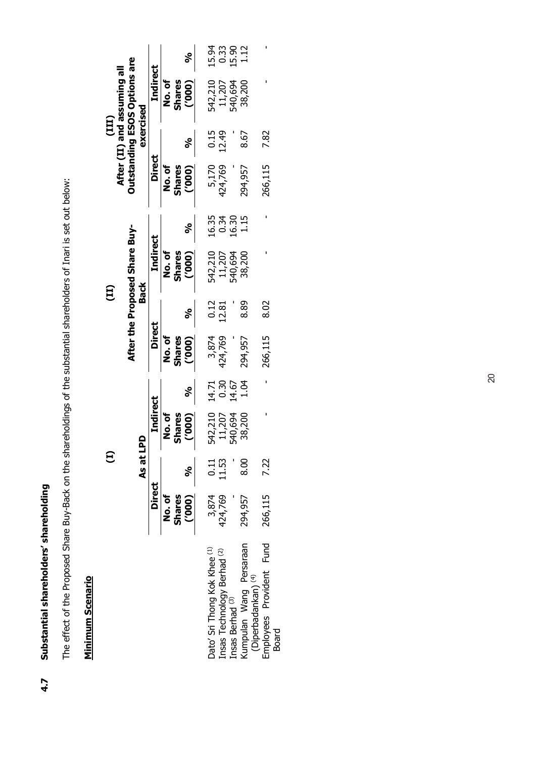# Substantial shareholders' shareholding **4.7 Substantial shareholders' shareholding**  4.7

The effect of the Proposed Share Buy-Back on the shareholdings of the substantial shareholders of Inari is set out below: The effect of the Proposed Share Buy-Back on the shareholdings of the substantial shareholders of Inari is set out below:

# **Minimum Scenario Minimum Scenario**

|                                      |                                     |           |                 |              |               | కి                 |                              | 15.33<br>0.33                          | 15.90                       | 1.12                                                      |                          |              |
|--------------------------------------|-------------------------------------|-----------|-----------------|--------------|---------------|--------------------|------------------------------|----------------------------------------|-----------------------------|-----------------------------------------------------------|--------------------------|--------------|
| (III)<br>After (II) and assuming all | <b>Outstanding ESOS Options are</b> |           | Indirect        | ბ.<br>No. of | Shares        | $\left[000\right]$ | 542,210                      | 11,207                                 | 540,694                     | 38,200                                                    |                          |              |
|                                      |                                     | exercised |                 |              |               |                    |                              | 0.15<br>12.49                          |                             | 8.67                                                      | 7.82                     |              |
|                                      |                                     |           | Direct          | No.of        | <b>Shares</b> | [000]              |                              | 5,170<br>424,769                       |                             | 294,957                                                   | 266,115                  |              |
|                                      |                                     |           |                 |              |               | S<br>0             |                              | 16.34<br>0.34                          | 16.30                       | 1.15                                                      |                          |              |
|                                      | After the Proposed Share Buy-       | Back      | Indirect        | No.of        | <b>Shares</b> | (000)              | 542,210                      | 11,207                                 | 540,694                     | 38,200                                                    |                          |              |
| 冝                                    |                                     |           |                 |              |               |                    |                              | $0.12$<br>$12.81$                      |                             | 8.89                                                      | 8.02                     |              |
|                                      |                                     |           | Direct          | No.of        | <b>Shares</b> | (000)              | 3,874                        | 424,769                                |                             | 294,957                                                   | 266,115                  |              |
|                                      |                                     |           |                 |              |               | కి                 | 14.71                        | 0.30                                   | 14.67                       | 1.04                                                      |                          |              |
|                                      |                                     |           | <b>Tndirect</b> | ិ<br>2       | Shares        | (000)              | 542,210                      | 11,207                                 | 540,694                     | 38,200                                                    |                          |              |
| Ξ                                    |                                     | As at LPD |                 |              |               | <u>ಲ್</u>          |                              | $\frac{11}{11}$                        |                             | 8.00                                                      | 7.22                     |              |
|                                      |                                     |           | <b>Direct</b>   | No.of        | <b>Shares</b> | (000)              | 3,874                        | 424,769                                |                             | 294,957                                                   | 266,115                  |              |
|                                      |                                     |           |                 |              |               |                    | Dato' Sri Thong Kok Khee (1) | Insas Technology Berhad <sup>(2)</sup> | Insas Berhad <sup>(3)</sup> | Kumpulan Wang Persaraan<br>(Diperbadankan) <sup>(4)</sup> | Employees Provident Fund | <b>Board</b> |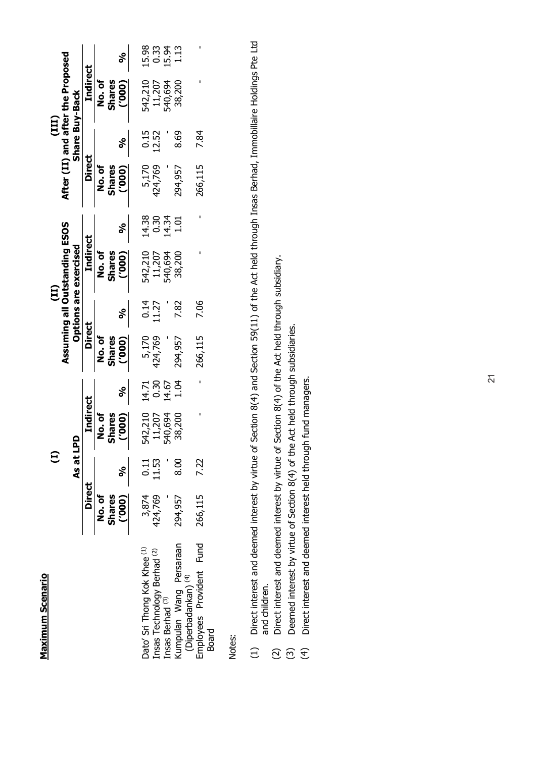| í |  |
|---|--|
|   |  |
|   |  |
|   |  |
|   |  |
|   |  |
|   |  |
|   |  |

|                                                           |                        | Ξ               |                     |                        |                        | $\overline{11}$      |                                                        |                        |                        | (III)          |                                   |                                    |
|-----------------------------------------------------------|------------------------|-----------------|---------------------|------------------------|------------------------|----------------------|--------------------------------------------------------|------------------------|------------------------|----------------|-----------------------------------|------------------------------------|
|                                                           |                        | As at LP        | ē                   |                        |                        |                      | Assuming all Outstanding ESOS<br>Options are exercised |                        |                        | Share Buy-Back | After (II) and after the Proposed |                                    |
|                                                           | <b>Direct</b>          |                 | Indirect            |                        | <b>Direct</b>          |                      | <b>Indirect</b>                                        |                        | <b>Direct</b>          |                | <b>Indirect</b>                   |                                    |
|                                                           | No.of<br><b>Shares</b> |                 | Shares<br>o.<br>No. |                        | No.of<br><b>Shares</b> |                      | No.of<br>Shares                                        |                        | No.of<br><b>Shares</b> |                | No.of<br><b>Shares</b>            |                                    |
|                                                           | (000)                  | $\frac{8}{3}$   | (000)               | కి                     | (000)                  |                      | (000)                                                  | నీ                     | (000)                  | నీ             | (000)                             | నీ                                 |
| Dato' Sri Thong Kok Khee (1)                              | 3,874                  | $\frac{11}{11}$ | 542,210             |                        | 5,170                  | $\frac{0.14}{11.27}$ | 542,210                                                |                        | 5,170                  | 0.15<br>12.52  | 542,210                           |                                    |
| Insas Technology Berhad <sup>(2)</sup>                    | 424,769                |                 | 11,207              | 14.71<br>0.30<br>14.67 | 424,769                |                      | 11,207                                                 | 14.38<br>0.37<br>14.34 | 124,769                |                | 11,207                            | 10 0 10 11<br>10 11 11<br>10 11 11 |
| Insas Berhad <sup>(3)</sup>                               |                        |                 | 540,694             |                        |                        |                      | 540,694                                                |                        |                        |                | 540,694                           |                                    |
| Kumpulan Wang Persaraan<br>(Diperbadankan) <sup>(4)</sup> | 294,957                | 8.00            | 38,200              | 1.04                   | 294,957                | 7.82                 | 38,200                                                 | $1.01$                 | 294,957                | 8.69           | 38,200                            |                                    |
| Employees Provident Fund<br><b>Board</b>                  | 266,115                | 7.22            |                     |                        | 266,115                | 7.06                 |                                                        |                        | 266,115                | 7.84           |                                   |                                    |

Notes:

- (1) Direct interest and deemed interest by virtue of Section 8(4) and Section 59(11) of the Act held through Insas Berhad, Immobillaire Holdings Pte Ltd Direct interest and deemed interest by virtue of Section 8(4) and Section 59(11) of the Act held through Insas Berhad, Immobillaire Holdings Pte Ltd and children. and children.  $\begin{array}{c}\n\text{1}\n\end{array}$ 
	- (2) Direct interest and deemed interest by virtue of Section 8(4) of the Act held through subsidiary. Direct interest and deemed interest by virtue of Section 8(4) of the Act held through subsidiary.  $\widehat{c}$   $\widehat{c}$   $\widehat{\tau}$ 
		- (3) Deemed interest by virtue of Section 8(4) of the Act held through subsidiaries. Deemed interest by virtue of Section 8(4) of the Act held through subsidiaries.
- (4) Direct interest and deemed interest held through fund managers. Direct interest and deemed interest held through fund managers.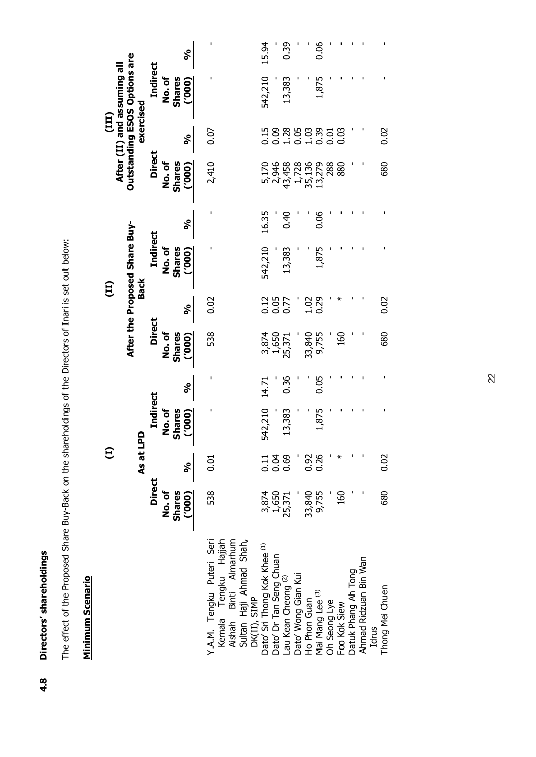Directors' shareholdings **4.8 Directors' shareholdings**   $4.8$  The effect of the Proposed Share Buy-Back on the shareholdings of the Directors of Inari is set out below: The effect of the Proposed Share Buy-Back on the shareholdings of the Directors of Inari is set out below:

# **Minimum Scenario Minimum Scenario**

|                                                                                                             |                        | Ξ            |                         |       |                        | $\overline{11}$ |                               |       |                 | (III)          |                                                                    |       |
|-------------------------------------------------------------------------------------------------------------|------------------------|--------------|-------------------------|-------|------------------------|-----------------|-------------------------------|-------|-----------------|----------------|--------------------------------------------------------------------|-------|
|                                                                                                             |                        |              |                         |       |                        |                 | After the Proposed Share Buy- |       |                 |                | <b>Outstanding ESOS Options are</b><br>After (II) and assuming all |       |
|                                                                                                             |                        | As at LI     | <u>ଇ</u>                |       |                        | <b>Back</b>     |                               |       |                 | exercised      |                                                                    |       |
|                                                                                                             | <b>Direct</b>          |              | <b>Indirect</b>         |       | <b>Direct</b>          |                 | <b>Indirect</b>               |       | <b>Direct</b>   |                | <b>Indirect</b>                                                    |       |
|                                                                                                             | No.of<br><b>Shares</b> |              | No. of<br><b>Shares</b> |       | No.of<br><b>Shares</b> |                 | No. of<br><b>Shares</b>       |       | No.of<br>Shares |                | No.of<br><b>Shares</b>                                             |       |
|                                                                                                             | (000)                  | నీ           | (000)                   | నీ    | (000)                  | నీ              | (000)                         | నీ    | (000)           | నీ             | (000)                                                              | నీ    |
| Y.A.M. Tengku Puteri Seri<br>Tengku Hajjah<br>Binti Almarhum<br>Sultan Haji Ahmad Shah,<br>Kemala<br>Aishah | 538                    | 0.01         |                         |       | 538                    | 0.02            |                               |       | 2,410           | 0.07           |                                                                    |       |
| DK(II), SIMP<br>Dato' Sri Thong Kok Khee <sup>(1)</sup>                                                     |                        |              | 542,210                 | 14.71 |                        |                 | 542,210                       | 16.35 | 5,170           |                | 542,210                                                            | 15.94 |
| Dato' Dr Tan Seng Chuan                                                                                     | 3,874<br>1,650         | 11<br>0.5    |                         |       | 3,874<br>1,650         | 0.15<br>0.07    |                               |       | 2,946           | $0.15$<br>0.09 |                                                                    |       |
| au Kean Cheong <sup>(2)</sup>                                                                               | 25,371                 | 0.69         | 13,383                  | 0.36  | 25,371                 |                 | 13,383                        | 0.40  | 43,458          | 28503200       | 13,383                                                             | 0.39  |
| Dato' Wong Gian Kui                                                                                         |                        |              |                         |       |                        |                 |                               |       | 1,728           |                |                                                                    |       |
| Ho Phon Guan                                                                                                | 33,840                 | 0.36<br>0.26 |                         |       |                        | $1.02$<br>0.29  |                               |       | 35,136          |                |                                                                    |       |
| Mai Mang Lee (3)                                                                                            | 9,755                  |              | 1,875                   | 0.05  | 33,840<br>9,755        |                 | 1,875                         | 0.06  | 13,279          |                | 1,875                                                              | 0.06  |
| Jh Seong Lye                                                                                                |                        |              |                         |       |                        |                 |                               |       | 288             |                |                                                                    |       |
| Foo Kok Siew                                                                                                | 160                    | ⋇            |                         |       | 160                    |                 |                               |       | 880             |                |                                                                    |       |
| Datuk Phang Ah Tong                                                                                         |                        |              |                         |       |                        |                 |                               |       |                 |                |                                                                    |       |
| Ahmad Ridzuan Bin Wan                                                                                       |                        |              |                         |       |                        |                 |                               |       |                 |                |                                                                    |       |
| Idrus                                                                                                       |                        |              |                         |       |                        |                 |                               |       |                 |                |                                                                    |       |
| Thong Mei Chuen                                                                                             | 680                    | 0.02         |                         |       | 680                    | 0.02            |                               |       | 680             | 0.02           |                                                                    |       |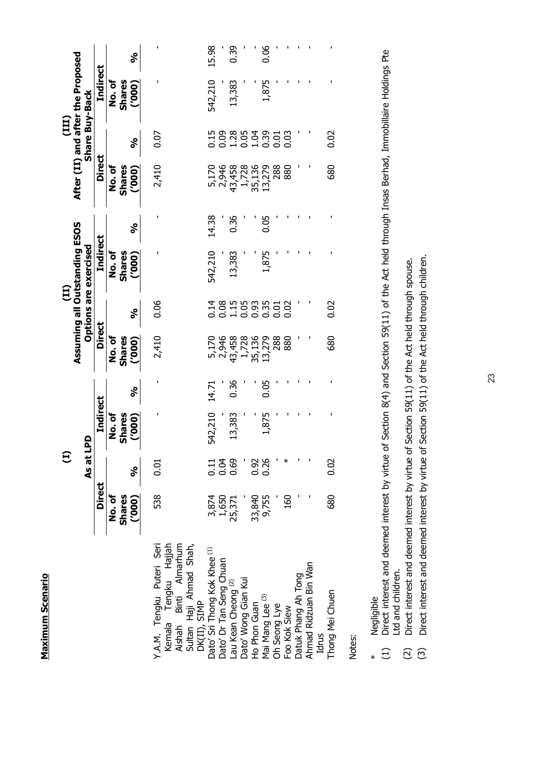|                                                         |                                 | Ξ                 |                                       |       |                                       |                         |                                       |       |                           |                |                                            |       |
|---------------------------------------------------------|---------------------------------|-------------------|---------------------------------------|-------|---------------------------------------|-------------------------|---------------------------------------|-------|---------------------------|----------------|--------------------------------------------|-------|
|                                                         |                                 |                   |                                       |       |                                       |                         | (II)<br>Assuming all Outstanding ESOS |       |                           |                | (III)<br>After (II) and after the Proposed |       |
|                                                         |                                 | As at LP          | $\Omega$                              |       |                                       |                         | Options are exercised                 |       |                           | Share Buy-Back |                                            |       |
|                                                         | <b>Direct</b>                   |                   | <b>Indirect</b>                       |       | <b>Direct</b>                         |                         | Indirect                              |       | <b>Direct</b>             |                | <b>Indirect</b>                            |       |
|                                                         | No.of<br><b>Shares</b><br>(000) | నీ                | o.<br>No.of<br><b>Shares</b><br>(000) | నీ    | ້<br>2<br>2<br><b>Shares</b><br>(000) | నీ                      | No.of<br>Shares<br>(000)              | నీ    | No.of<br>Shares<br>(000)  | ್ಠೆ            | ზ<br>20<br><b>Shares</b><br>(000)          | ್ಠೆ   |
| Y.A.M. Tengku Puteri Seri                               | 538                             | 0.01              | ı                                     |       | 2,410                                 | 0.06                    |                                       |       | 2,410                     | 0.07           |                                            |       |
| Aishah Binti Almarhum<br>Tengku Hajjah<br>Kemala        |                                 |                   |                                       |       |                                       |                         |                                       |       |                           |                |                                            |       |
| Sultan Haji Ahmad Shah,                                 |                                 |                   |                                       |       |                                       |                         |                                       |       |                           |                |                                            |       |
| DK(II), SIMP<br>Dato' Sri Thong Kok Khee <sup>(1)</sup> | 3,874                           |                   | 542,210                               | 14.71 |                                       |                         | 542,210                               | 14.38 | 5,170                     |                | 542,210                                    | 15.98 |
| Dato' Dr Tan Seng Chuan                                 | 1,650                           | $\frac{11}{0.05}$ |                                       |       | 5,170<br>2,946                        |                         |                                       |       | 2,946                     |                |                                            |       |
| au Kean Cheong <sup>(2)</sup>                           | 25,371                          | 0.69              | 13,383                                | 0.36  | 43,458                                |                         | 13,383                                | 0.36  | 43,458                    |                | 13,383                                     | 0.39  |
| Jato' Wong Gian Kui                                     |                                 |                   |                                       |       | 1,728                                 |                         |                                       |       | 1,728<br>35,136<br>13,279 |                |                                            |       |
| Ho Phon Guan                                            |                                 | 0.92              |                                       |       | 35,136<br>13,279                      |                         |                                       |       |                           |                |                                            |       |
| Mai Mang Lee (3)                                        | 33,840<br>9,755                 | 0.26              | 1,875                                 | 0.05  |                                       | 181985100<br>1919551000 | 1,875                                 | 0.05  |                           |                | 1,875                                      | 0.06  |
| Oh Seong Lye                                            |                                 |                   |                                       |       | 288                                   |                         |                                       |       | 288                       |                |                                            |       |
| Foo Kok Siew                                            | 160                             | ⋇                 |                                       |       | 880                                   |                         |                                       |       |                           |                |                                            |       |
| Datuk Phang Ah Tong                                     |                                 |                   |                                       |       |                                       |                         |                                       |       |                           |                |                                            |       |
| Ahmad Ridzuan Bin Wan                                   |                                 |                   |                                       |       |                                       |                         |                                       |       |                           |                |                                            |       |
| Idrus                                                   |                                 |                   |                                       |       |                                       |                         |                                       |       |                           |                |                                            |       |
| Thong Mei Chuen                                         | 680                             | 0.02              |                                       |       | 680                                   | 0.02                    |                                       |       | 680                       | 0.02           |                                            |       |
|                                                         |                                 |                   |                                       |       |                                       |                         |                                       |       |                           |                |                                            |       |

Notes:

- \* Negligible
- Negligible<br>Direct interest and deemed interest by virtue of Section 8(4) and Section 59(11) of the Act held through Insas Berhad, Immobillaire Holdings Pte<br>Ltd and children. (1) Direct interest and deemed interest by virtue of Section 8(4) and Section 59(11) of the Act held through Insas Berhad, Immobillaire Holdings Pte Ltd and children.  $\ast$   $\widehat{\Xi}$ 
	- Direct interest and deemed interest by virtue of Section 59(11) of the Act held through spouse. (2) Direct interest and deemed interest by virtue of Section 59(11) of the Act held through spouse.  $\widehat{c}$   $\widehat{c}$
- (3) Direct interest and deemed interest by virtue of Section 59(11) of the Act held through children. Direct interest and deemed interest by virtue of Section 59(11) of the Act held through children.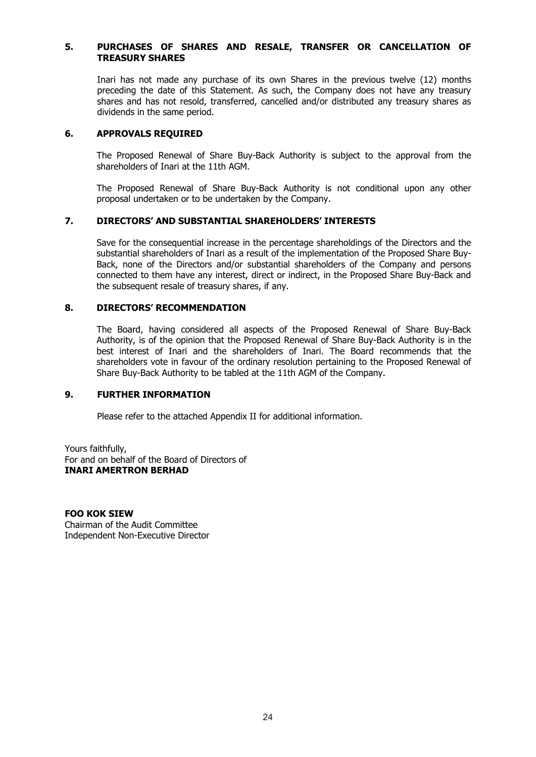# **5. PURCHASES OF SHARES AND RESALE, TRANSFER OR CANCELLATION OF TREASURY SHARES**

Inari has not made any purchase of its own Shares in the previous twelve (12) months preceding the date of this Statement. As such, the Company does not have any treasury shares and has not resold, transferred, cancelled and/or distributed any treasury shares as dividends in the same period.

# **6. APPROVALS REQUIRED**

The Proposed Renewal of Share Buy-Back Authority is subject to the approval from the shareholders of Inari at the 11th AGM.

The Proposed Renewal of Share Buy-Back Authority is not conditional upon any other proposal undertaken or to be undertaken by the Company.

# **7. DIRECTORS' AND SUBSTANTIAL SHAREHOLDERS' INTERESTS**

Save for the consequential increase in the percentage shareholdings of the Directors and the substantial shareholders of Inari as a result of the implementation of the Proposed Share Buy-Back, none of the Directors and/or substantial shareholders of the Company and persons connected to them have any interest, direct or indirect, in the Proposed Share Buy-Back and the subsequent resale of treasury shares, if any.

# **8. DIRECTORS' RECOMMENDATION**

The Board, having considered all aspects of the Proposed Renewal of Share Buy-Back Authority, is of the opinion that the Proposed Renewal of Share Buy-Back Authority is in the best interest of Inari and the shareholders of Inari. The Board recommends that the shareholders vote in favour of the ordinary resolution pertaining to the Proposed Renewal of Share Buy-Back Authority to be tabled at the 11th AGM of the Company.

# **9. FURTHER INFORMATION**

Please refer to the attached Appendix II for additional information.

Yours faithfully, For and on behalf of the Board of Directors of **INARI AMERTRON BERHAD** 

### **FOO KOK SIEW**

Chairman of the Audit Committee Independent Non-Executive Director